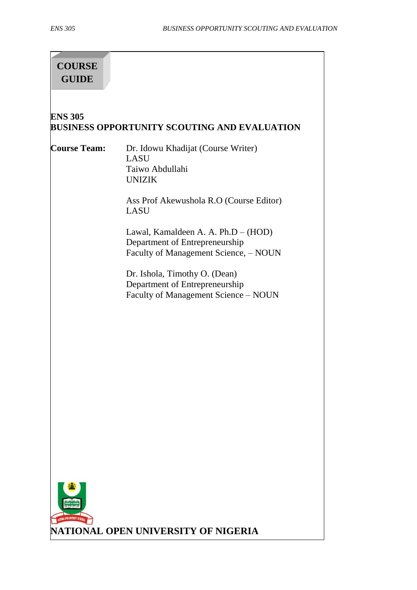# **COURSE GUIDE**

#### **ENS 305 BUSINESS OPPORTUNITY SCOUTING AND EVALUATION**

**Course Team:** Dr. Idowu Khadijat (Course Writer) LASU Taiwo Abdullahi UNIZIK

> Ass Prof Akewushola R.O (Course Editor) LASU

> Lawal, Kamaldeen A. A. Ph.D – (HOD) Department of Entrepreneurship Faculty of Management Science, – NOUN

Dr. Ishola, Timothy O. (Dean) Department of Entrepreneurship Faculty of Management Science – NOUN

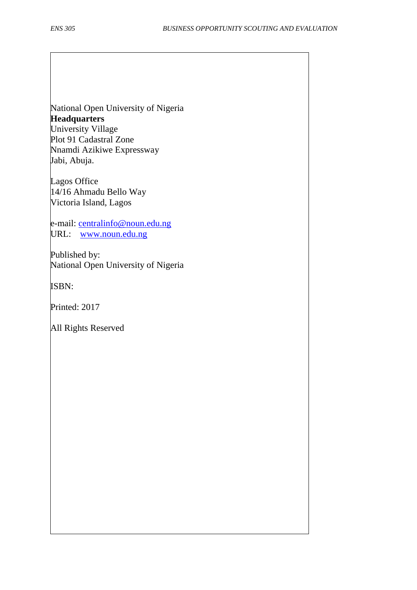National Open University of Nigeria **Headquarters** University Village Plot 91 Cadastral Zone Nnamdi Azikiwe Expressway Jabi, Abuja.

Lagos Office 14/16 Ahmadu Bello Way Victoria Island, Lagos

e-mail: [centralinfo@noun.edu.ng](mailto:centralinfo@noun.edu.ng) URL: [www.noun.edu.ng](http://www.noun.edu.ng/)

Published by: National Open University of Nigeria

ISBN:

Printed: 2017

All Rights Reserved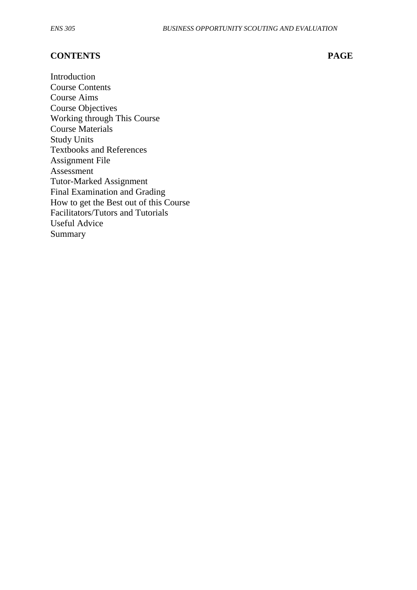#### **CONTENTS PAGE**

Introduction Course Contents Course Aims Course Objectives Working through This Course Course Materials Study Units Textbooks and References Assignment File Assessment Tutor-Marked Assignment Final Examination and Grading How to get the Best out of this Course Facilitators/Tutors and Tutorials Useful Advice Summary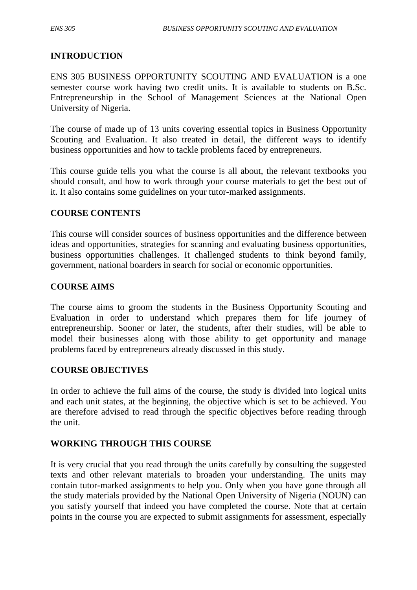## **INTRODUCTION**

ENS 305 BUSINESS OPPORTUNITY SCOUTING AND EVALUATION is a one semester course work having two credit units. It is available to students on B.Sc. Entrepreneurship in the School of Management Sciences at the National Open University of Nigeria.

The course of made up of 13 units covering essential topics in Business Opportunity Scouting and Evaluation. It also treated in detail, the different ways to identify business opportunities and how to tackle problems faced by entrepreneurs.

This course guide tells you what the course is all about, the relevant textbooks you should consult, and how to work through your course materials to get the best out of it. It also contains some guidelines on your tutor-marked assignments.

#### **COURSE CONTENTS**

This course will consider sources of business opportunities and the difference between ideas and opportunities, strategies for scanning and evaluating business opportunities, business opportunities challenges. It challenged students to think beyond family, government, national boarders in search for social or economic opportunities.

#### **COURSE AIMS**

The course aims to groom the students in the Business Opportunity Scouting and Evaluation in order to understand which prepares them for life journey of entrepreneurship. Sooner or later, the students, after their studies, will be able to model their businesses along with those ability to get opportunity and manage problems faced by entrepreneurs already discussed in this study.

#### **COURSE OBJECTIVES**

In order to achieve the full aims of the course, the study is divided into logical units and each unit states, at the beginning, the objective which is set to be achieved. You are therefore advised to read through the specific objectives before reading through the unit.

#### **WORKING THROUGH THIS COURSE**

It is very crucial that you read through the units carefully by consulting the suggested texts and other relevant materials to broaden your understanding. The units may contain tutor-marked assignments to help you. Only when you have gone through all the study materials provided by the National Open University of Nigeria (NOUN) can you satisfy yourself that indeed you have completed the course. Note that at certain points in the course you are expected to submit assignments for assessment, especially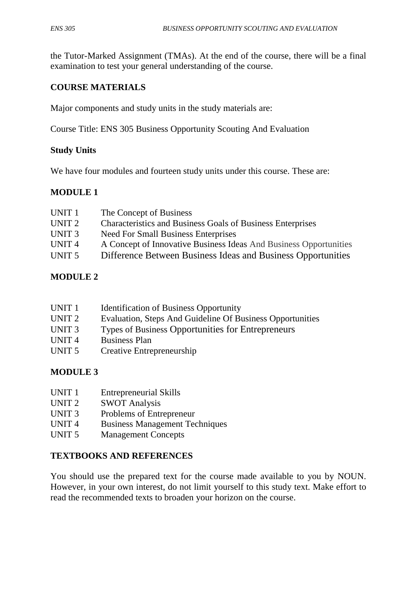the Tutor-Marked Assignment (TMAs). At the end of the course, there will be a final examination to test your general understanding of the course.

## **COURSE MATERIALS**

Major components and study units in the study materials are:

Course Title: ENS 305 Business Opportunity Scouting And Evaluation

## **Study Units**

We have four modules and fourteen study units under this course. These are:

## **MODULE 1**

| UNIT <sub>1</sub> | The Concept of Business                                           |
|-------------------|-------------------------------------------------------------------|
| UNIT <sub>2</sub> | <b>Characteristics and Business Goals of Business Enterprises</b> |
| UNIT <sub>3</sub> | Need For Small Business Enterprises                               |
| UNIT <sub>4</sub> | A Concept of Innovative Business Ideas And Business Opportunities |
| UNIT <sub>5</sub> | Difference Between Business Ideas and Business Opportunities      |
|                   |                                                                   |

## **MODULE 2**

| UNIT <sub>1</sub> | <b>Identification of Business Opportunity</b>             |
|-------------------|-----------------------------------------------------------|
| UNIT 2            | Evaluation, Steps And Guideline Of Business Opportunities |

- UNIT 3 Types of Business Opportunities for Entrepreneurs
- UNIT 4 Business Plan
- UNIT 5 Creative Entrepreneurship

#### **MODULE 3**

- UNIT 1 Entrepreneurial Skills
- UNIT 2 SWOT Analysis
- UNIT 3 Problems of Entrepreneur
- UNIT 4 Business Management Techniques
- UNIT 5 Management Concepts

#### **TEXTBOOKS AND REFERENCES**

You should use the prepared text for the course made available to you by NOUN. However, in your own interest, do not limit yourself to this study text. Make effort to read the recommended texts to broaden your horizon on the course.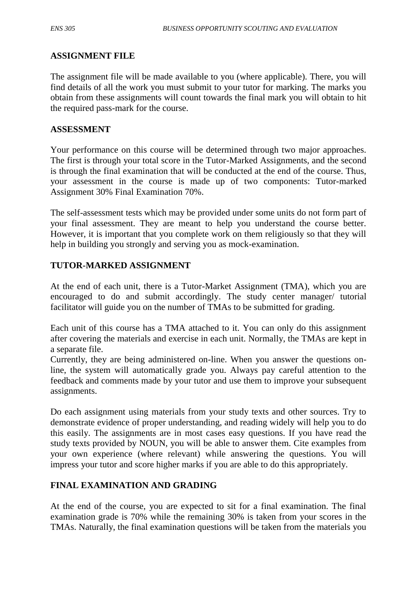#### **ASSIGNMENT FILE**

The assignment file will be made available to you (where applicable). There, you will find details of all the work you must submit to your tutor for marking. The marks you obtain from these assignments will count towards the final mark you will obtain to hit the required pass-mark for the course.

#### **ASSESSMENT**

Your performance on this course will be determined through two major approaches. The first is through your total score in the Tutor-Marked Assignments, and the second is through the final examination that will be conducted at the end of the course. Thus, your assessment in the course is made up of two components: Tutor-marked Assignment 30% Final Examination 70%.

The self-assessment tests which may be provided under some units do not form part of your final assessment. They are meant to help you understand the course better. However, it is important that you complete work on them religiously so that they will help in building you strongly and serving you as mock-examination.

## **TUTOR-MARKED ASSIGNMENT**

At the end of each unit, there is a Tutor-Market Assignment (TMA), which you are encouraged to do and submit accordingly. The study center manager/ tutorial facilitator will guide you on the number of TMAs to be submitted for grading.

Each unit of this course has a TMA attached to it. You can only do this assignment after covering the materials and exercise in each unit. Normally, the TMAs are kept in a separate file.

Currently, they are being administered on-line. When you answer the questions online, the system will automatically grade you. Always pay careful attention to the feedback and comments made by your tutor and use them to improve your subsequent assignments.

Do each assignment using materials from your study texts and other sources. Try to demonstrate evidence of proper understanding, and reading widely will help you to do this easily. The assignments are in most cases easy questions. If you have read the study texts provided by NOUN, you will be able to answer them. Cite examples from your own experience (where relevant) while answering the questions. You will impress your tutor and score higher marks if you are able to do this appropriately.

#### **FINAL EXAMINATION AND GRADING**

At the end of the course, you are expected to sit for a final examination. The final examination grade is 70% while the remaining 30% is taken from your scores in the TMAs. Naturally, the final examination questions will be taken from the materials you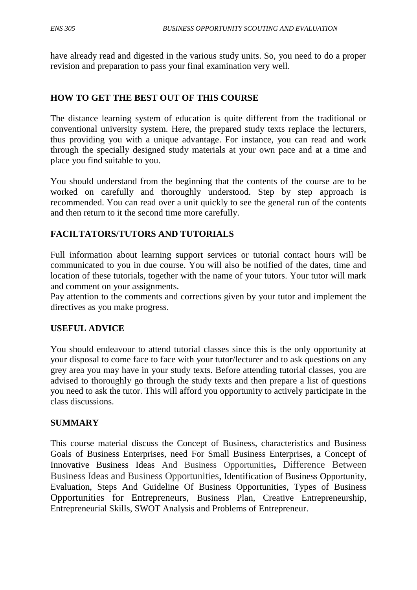have already read and digested in the various study units. So, you need to do a proper revision and preparation to pass your final examination very well.

#### **HOW TO GET THE BEST OUT OF THIS COURSE**

The distance learning system of education is quite different from the traditional or conventional university system. Here, the prepared study texts replace the lecturers, thus providing you with a unique advantage. For instance, you can read and work through the specially designed study materials at your own pace and at a time and place you find suitable to you.

You should understand from the beginning that the contents of the course are to be worked on carefully and thoroughly understood. Step by step approach is recommended. You can read over a unit quickly to see the general run of the contents and then return to it the second time more carefully.

## **FACILTATORS/TUTORS AND TUTORIALS**

Full information about learning support services or tutorial contact hours will be communicated to you in due course. You will also be notified of the dates, time and location of these tutorials, together with the name of your tutors. Your tutor will mark and comment on your assignments.

Pay attention to the comments and corrections given by your tutor and implement the directives as you make progress.

#### **USEFUL ADVICE**

You should endeavour to attend tutorial classes since this is the only opportunity at your disposal to come face to face with your tutor/lecturer and to ask questions on any grey area you may have in your study texts. Before attending tutorial classes, you are advised to thoroughly go through the study texts and then prepare a list of questions you need to ask the tutor. This will afford you opportunity to actively participate in the class discussions.

#### **SUMMARY**

This course material discuss the Concept of Business, characteristics and Business Goals of Business Enterprises, need For Small Business Enterprises, a Concept of Innovative Business Ideas And Business Opportunities**,** Difference Between Business Ideas and Business Opportunities, Identification of Business Opportunity, Evaluation, Steps And Guideline Of Business Opportunities, Types of Business Opportunities for Entrepreneurs, Business Plan, Creative Entrepreneurship, Entrepreneurial Skills, SWOT Analysis and Problems of Entrepreneur.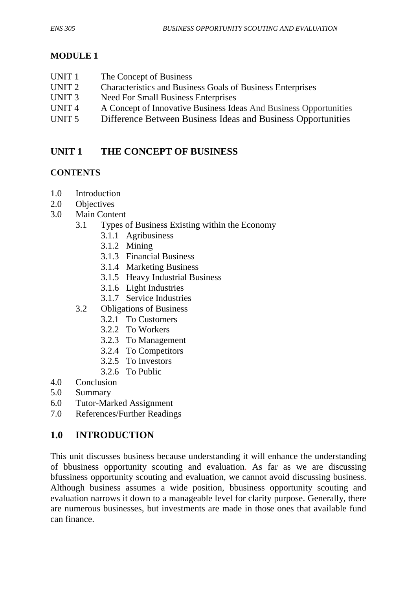# **MODULE 1**

UNIT 1 The Concept of Business UNIT 2 Characteristics and Business Goals of Business Enterprises UNIT 3 Need For Small Business Enterprises UNIT 4 A Concept of Innovative Business Ideas And Business Opportunities UNIT 5 Difference Between Business Ideas and Business Opportunities

# **UNIT 1 THE CONCEPT OF BUSINESS**

# **CONTENTS**

- 1.0 Introduction
- 2.0 Objectives
- 3.0 Main Content
	- 3.1 Types of Business Existing within the Economy
		- 3.1.1 Agribusiness
		- 3.1.2 Mining
		- 3.1.3 Financial Business
		- 3.1.4 Marketing Business
		- 3.1.5 Heavy Industrial Business
		- 3.1.6 Light Industries
		- 3.1.7 Service Industries
	- 3.2 Obligations of Business
		- 3.2.1 To Customers
		- 3.2.2 To Workers
		- 3.2.3 To Management
		- 3.2.4 To Competitors
		- 3.2.5 To Investors
		- 3.2.6 To Public
- 4.0 Conclusion
- 5.0 Summary
- 6.0 Tutor-Marked Assignment
- 7.0 References/Further Readings

# **1.0 INTRODUCTION**

This unit discusses business because understanding it will enhance the understanding of bbusiness opportunity scouting and evaluation. As far as we are discussing bfussiness opportunity scouting and evaluation, we cannot avoid discussing business. Although business assumes a wide position, bbusiness opportunity scouting and evaluation narrows it down to a manageable level for clarity purpose. Generally, there are numerous businesses, but investments are made in those ones that available fund can finance.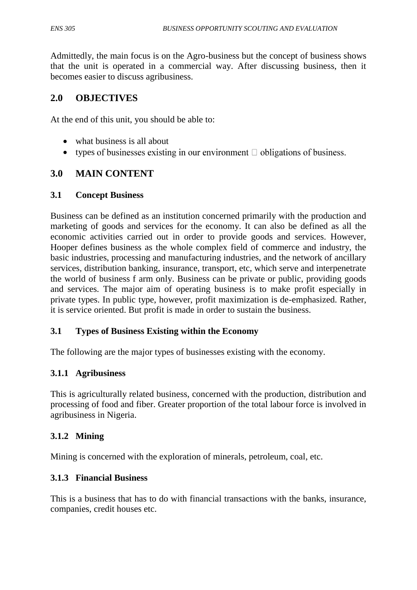Admittedly, the main focus is on the Agro-business but the concept of business shows that the unit is operated in a commercial way. After discussing business, then it becomes easier to discuss agribusiness.

# **2.0 OBJECTIVES**

At the end of this unit, you should be able to:

- what business is all about
- types of businesses existing in our environment  $\Box$  obligations of business.

## **3.0 MAIN CONTENT**

## **3.1 Concept Business**

Business can be defined as an institution concerned primarily with the production and marketing of goods and services for the economy. It can also be defined as all the economic activities carried out in order to provide goods and services. However, Hooper defines business as the whole complex field of commerce and industry, the basic industries, processing and manufacturing industries, and the network of ancillary services, distribution banking, insurance, transport, etc, which serve and interpenetrate the world of business f arm only. Business can be private or public, providing goods and services. The major aim of operating business is to make profit especially in private types. In public type, however, profit maximization is de-emphasized. Rather, it is service oriented. But profit is made in order to sustain the business.

#### **3.1 Types of Business Existing within the Economy**

The following are the major types of businesses existing with the economy.

## **3.1.1 Agribusiness**

This is agriculturally related business, concerned with the production, distribution and processing of food and fiber. Greater proportion of the total labour force is involved in agribusiness in Nigeria.

## **3.1.2 Mining**

Mining is concerned with the exploration of minerals, petroleum, coal, etc.

## **3.1.3 Financial Business**

This is a business that has to do with financial transactions with the banks, insurance, companies, credit houses etc.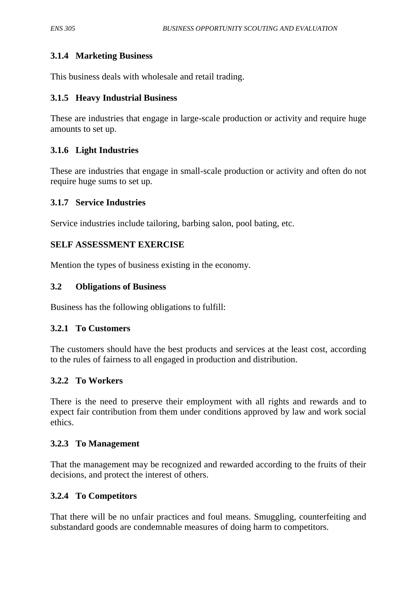## **3.1.4 Marketing Business**

This business deals with wholesale and retail trading.

#### **3.1.5 Heavy Industrial Business**

These are industries that engage in large-scale production or activity and require huge amounts to set up.

#### **3.1.6 Light Industries**

These are industries that engage in small-scale production or activity and often do not require huge sums to set up.

#### **3.1.7 Service Industries**

Service industries include tailoring, barbing salon, pool bating, etc.

#### **SELF ASSESSMENT EXERCISE**

Mention the types of business existing in the economy.

#### **3.2 Obligations of Business**

Business has the following obligations to fulfill:

#### **3.2.1 To Customers**

The customers should have the best products and services at the least cost, according to the rules of fairness to all engaged in production and distribution.

#### **3.2.2 To Workers**

There is the need to preserve their employment with all rights and rewards and to expect fair contribution from them under conditions approved by law and work social ethics.

#### **3.2.3 To Management**

That the management may be recognized and rewarded according to the fruits of their decisions, and protect the interest of others.

#### **3.2.4 To Competitors**

That there will be no unfair practices and foul means. Smuggling, counterfeiting and substandard goods are condemnable measures of doing harm to competitors.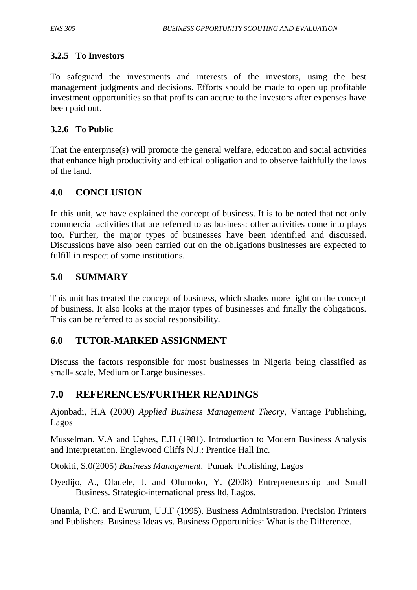## **3.2.5 To Investors**

To safeguard the investments and interests of the investors, using the best management judgments and decisions. Efforts should be made to open up profitable investment opportunities so that profits can accrue to the investors after expenses have been paid out.

## **3.2.6 To Public**

That the enterprise(s) will promote the general welfare, education and social activities that enhance high productivity and ethical obligation and to observe faithfully the laws of the land.

## **4.0 CONCLUSION**

In this unit, we have explained the concept of business. It is to be noted that not only commercial activities that are referred to as business: other activities come into plays too. Further, the major types of businesses have been identified and discussed. Discussions have also been carried out on the obligations businesses are expected to fulfill in respect of some institutions.

## **5.0 SUMMARY**

This unit has treated the concept of business, which shades more light on the concept of business. It also looks at the major types of businesses and finally the obligations. This can be referred to as social responsibility.

## **6.0 TUTOR-MARKED ASSIGNMENT**

Discuss the factors responsible for most businesses in Nigeria being classified as small- scale, Medium or Large businesses.

## **7.0 REFERENCES/FURTHER READINGS**

Ajonbadi, H.A (2000) *Applied Business Management Theory*, Vantage Publishing, Lagos

Musselman. V.A and Ughes, E.H (1981). Introduction to Modern Business Analysis and Interpretation. Englewood Cliffs N.J.: Prentice Hall Inc.

Otokiti, S.0(2005) *Business Management,* Pumak Publishing, Lagos

Oyedijo, A., Oladele, J. and Olumoko, Y. (2008) Entrepreneurship and Small Business. Strategic-international press ltd, Lagos.

Unamla, P.C. and Ewurum, U.J.F (1995). Business Administration. Precision Printers and Publishers. Business Ideas vs. Business Opportunities: What is the Difference.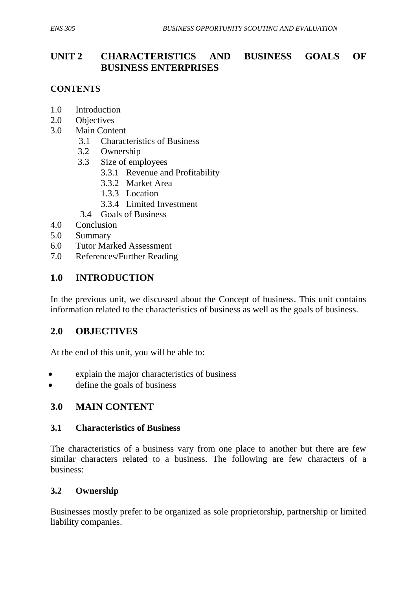# **UNIT 2 CHARACTERISTICS AND BUSINESS GOALS OF BUSINESS ENTERPRISES**

## **CONTENTS**

- 1.0 Introduction
- 2.0 Objectives
- 3.0 Main Content
	- 3.1 Characteristics of Business
	- 3.2 Ownership
	- 3.3 Size of employees
		- 3.3.1 Revenue and Profitability
		- 3.3.2 Market Area
		- 1.3.3 Location
		- 3.3.4 Limited Investment
	- 3.4 Goals of Business
- 4.0 Conclusion
- 5.0 Summary
- 6.0 Tutor Marked Assessment
- 7.0 References/Further Reading

## **1.0 INTRODUCTION**

In the previous unit, we discussed about the Concept of business. This unit contains information related to the characteristics of business as well as the goals of business.

## **2.0 OBJECTIVES**

At the end of this unit, you will be able to:

- explain the major characteristics of business
- define the goals of business

## **3.0 MAIN CONTENT**

#### **3.1 Characteristics of Business**

The characteristics of a business vary from one place to another but there are few similar characters related to a business. The following are few characters of a business:

#### **3.2 Ownership**

Businesses mostly prefer to be organized as sole proprietorship, partnership or limited liability companies.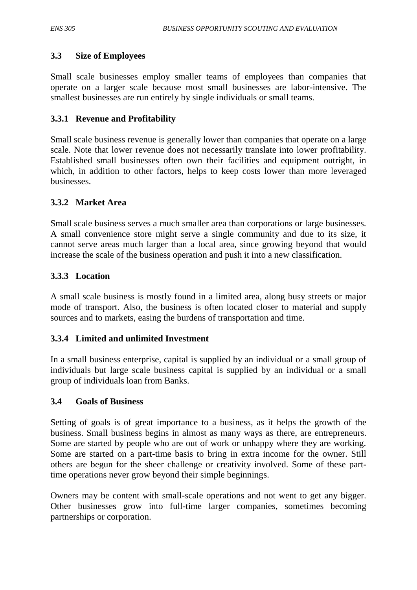#### **3.3 Size of Employees**

Small scale businesses employ smaller teams of employees than companies that operate on a larger scale because most small businesses are labor-intensive. The smallest businesses are run entirely by single individuals or small teams.

#### **3.3.1 Revenue and Profitability**

Small scale business revenue is generally lower than companies that operate on a large scale. Note that lower revenue does not necessarily translate into lower profitability. Established small businesses often own their facilities and equipment outright, in which, in addition to other factors, helps to keep costs lower than more leveraged businesses.

#### **3.3.2 Market Area**

Small scale business serves a much smaller area than corporations or large businesses. A small convenience store might serve a single community and due to its size, it cannot serve areas much larger than a local area, since growing beyond that would increase the scale of the business operation and push it into a new classification.

#### **3.3.3 Location**

A small scale business is mostly found in a limited area, along busy streets or major mode of transport. Also, the business is often located closer to material and supply sources and to markets, easing the burdens of transportation and time.

#### **3.3.4 Limited and unlimited Investment**

In a small business enterprise, capital is supplied by an individual or a small group of individuals but large scale business capital is supplied by an individual or a small group of individuals loan from Banks.

#### **3.4 Goals of Business**

Setting of goals is of great importance to a business, as it helps the growth of the business. Small business begins in almost as many ways as there, are entrepreneurs. Some are started by people who are out of work or unhappy where they are working. Some are started on a part-time basis to bring in extra income for the owner. Still others are begun for the sheer challenge or creativity involved. Some of these parttime operations never grow beyond their simple beginnings.

Owners may be content with small-scale operations and not went to get any bigger. Other businesses grow into full-time larger companies, sometimes becoming partnerships or corporation.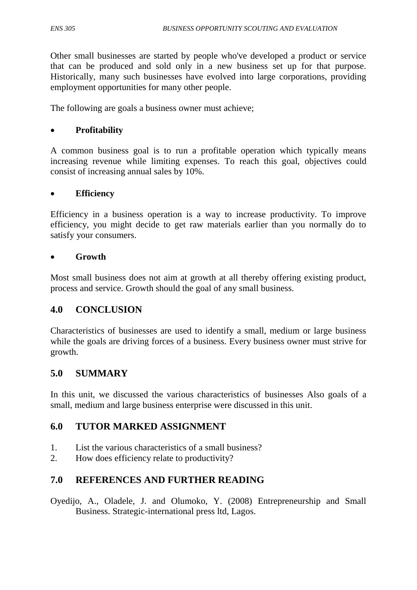Other small businesses are started by people who've developed a product or service that can be produced and sold only in a new business set up for that purpose. Historically, many such businesses have evolved into large corporations, providing employment opportunities for many other people.

The following are goals a business owner must achieve;

#### **Profitability**

A common business goal is to run a profitable operation which typically means increasing revenue while limiting expenses. To reach this goal, objectives could consist of increasing annual sales by 10%.

#### **Efficiency**

Efficiency in a business operation is a way to increase productivity. To improve efficiency, you might decide to get raw materials earlier than you normally do to satisfy your consumers.

#### **Growth**

Most small business does not aim at growth at all thereby offering existing product, process and service. Growth should the goal of any small business.

#### **4.0 CONCLUSION**

Characteristics of businesses are used to identify a small, medium or large business while the goals are driving forces of a business. Every business owner must strive for growth.

## **5.0 SUMMARY**

In this unit, we discussed the various characteristics of businesses Also goals of a small, medium and large business enterprise were discussed in this unit.

#### **6.0 TUTOR MARKED ASSIGNMENT**

- 1. List the various characteristics of a small business?
- 2. How does efficiency relate to productivity?

## **7.0 REFERENCES AND FURTHER READING**

Oyedijo, A., Oladele, J. and Olumoko, Y. (2008) Entrepreneurship and Small Business. Strategic-international press ltd, Lagos.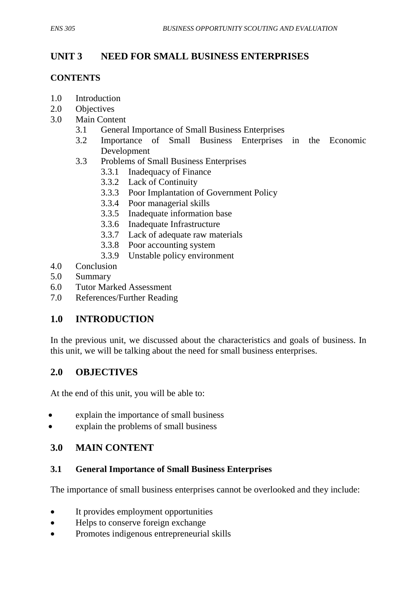# **UNIT 3 NEED FOR SMALL BUSINESS ENTERPRISES**

## **CONTENTS**

- 1.0 Introduction
- 2.0 Objectives
- 3.0 Main Content
	- 3.1 General Importance of Small Business Enterprises
	- 3.2 Importance of Small Business Enterprises in the Economic Development
	- 3.3 Problems of Small Business Enterprises
		- 3.3.1 Inadequacy of Finance
		- 3.3.2 Lack of Continuity
		- 3.3.3 Poor Implantation of Government Policy
		- 3.3.4 Poor managerial skills
		- 3.3.5 Inadequate information base
		- 3.3.6 Inadequate Infrastructure
		- 3.3.7 Lack of adequate raw materials
		- 3.3.8 Poor accounting system
		- 3.3.9 Unstable policy environment
- 4.0 Conclusion
- 5.0 Summary
- 6.0 Tutor Marked Assessment
- 7.0 References/Further Reading

# **1.0 INTRODUCTION**

In the previous unit, we discussed about the characteristics and goals of business. In this unit, we will be talking about the need for small business enterprises.

## **2.0 OBJECTIVES**

At the end of this unit, you will be able to:

- explain the importance of small business
- explain the problems of small business

# **3.0 MAIN CONTENT**

#### **3.1 General Importance of Small Business Enterprises**

The importance of small business enterprises cannot be overlooked and they include:

- It provides employment opportunities
- Helps to conserve foreign exchange
- Promotes indigenous entrepreneurial skills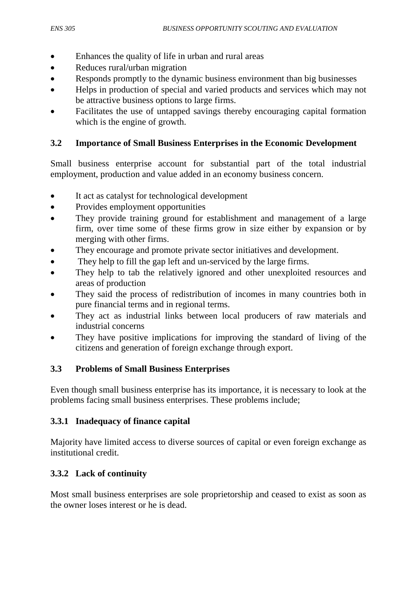- Enhances the quality of life in urban and rural areas
- Reduces rural/urban migration
- Responds promptly to the dynamic business environment than big businesses
- Helps in production of special and varied products and services which may not be attractive business options to large firms.
- Facilitates the use of untapped savings thereby encouraging capital formation which is the engine of growth.

## **3.2 Importance of Small Business Enterprises in the Economic Development**

Small business enterprise account for substantial part of the total industrial employment, production and value added in an economy business concern.

- It act as catalyst for technological development
- Provides employment opportunities
- They provide training ground for establishment and management of a large firm, over time some of these firms grow in size either by expansion or by merging with other firms.
- They encourage and promote private sector initiatives and development.
- They help to fill the gap left and un-serviced by the large firms.
- They help to tab the relatively ignored and other unexploited resources and areas of production
- They said the process of redistribution of incomes in many countries both in pure financial terms and in regional terms.
- They act as industrial links between local producers of raw materials and industrial concerns
- They have positive implications for improving the standard of living of the citizens and generation of foreign exchange through export.

#### **3.3 Problems of Small Business Enterprises**

Even though small business enterprise has its importance, it is necessary to look at the problems facing small business enterprises. These problems include;

## **3.3.1 Inadequacy of finance capital**

Majority have limited access to diverse sources of capital or even foreign exchange as institutional credit.

## **3.3.2 Lack of continuity**

Most small business enterprises are sole proprietorship and ceased to exist as soon as the owner loses interest or he is dead.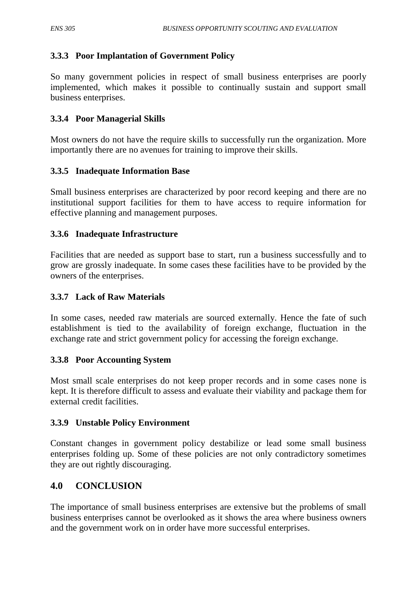## **3.3.3 Poor Implantation of Government Policy**

So many government policies in respect of small business enterprises are poorly implemented, which makes it possible to continually sustain and support small business enterprises.

## **3.3.4 Poor Managerial Skills**

Most owners do not have the require skills to successfully run the organization. More importantly there are no avenues for training to improve their skills.

## **3.3.5 Inadequate Information Base**

Small business enterprises are characterized by poor record keeping and there are no institutional support facilities for them to have access to require information for effective planning and management purposes.

## **3.3.6 Inadequate Infrastructure**

Facilities that are needed as support base to start, run a business successfully and to grow are grossly inadequate. In some cases these facilities have to be provided by the owners of the enterprises.

## **3.3.7 Lack of Raw Materials**

In some cases, needed raw materials are sourced externally. Hence the fate of such establishment is tied to the availability of foreign exchange, fluctuation in the exchange rate and strict government policy for accessing the foreign exchange.

#### **3.3.8 Poor Accounting System**

Most small scale enterprises do not keep proper records and in some cases none is kept. It is therefore difficult to assess and evaluate their viability and package them for external credit facilities.

#### **3.3.9 Unstable Policy Environment**

Constant changes in government policy destabilize or lead some small business enterprises folding up. Some of these policies are not only contradictory sometimes they are out rightly discouraging.

# **4.0 CONCLUSION**

The importance of small business enterprises are extensive but the problems of small business enterprises cannot be overlooked as it shows the area where business owners and the government work on in order have more successful enterprises.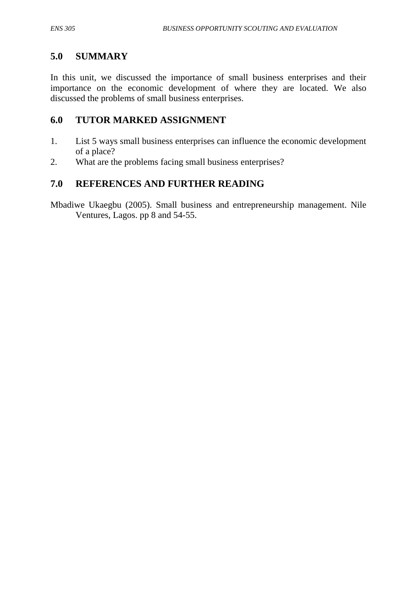# **5.0 SUMMARY**

In this unit, we discussed the importance of small business enterprises and their importance on the economic development of where they are located. We also discussed the problems of small business enterprises.

# **6.0 TUTOR MARKED ASSIGNMENT**

- 1. List 5 ways small business enterprises can influence the economic development of a place?
- 2. What are the problems facing small business enterprises?

# **7.0 REFERENCES AND FURTHER READING**

Mbadiwe Ukaegbu (2005). Small business and entrepreneurship management. Nile Ventures, Lagos. pp 8 and 54-55.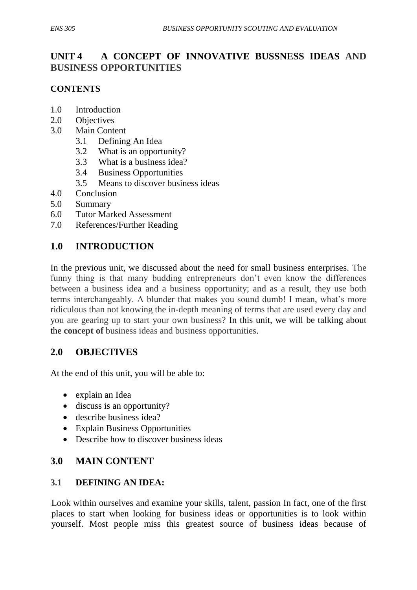# **UNIT 4 A CONCEPT OF INNOVATIVE BUSSNESS IDEAS AND BUSINESS OPPORTUNITIES**

## **CONTENTS**

- 1.0 Introduction
- 2.0 Objectives
- 3.0 Main Content
	- 3.1 Defining An Idea
	- 3.2 What is an opportunity?
	- 3.3 What is a business idea?
	- 3.4 Business Opportunities
	- 3.5 Means to discover business ideas
- 4.0 Conclusion
- 5.0 Summary
- 6.0 Tutor Marked Assessment
- 7.0 References/Further Reading

## **1.0 INTRODUCTION**

In the previous unit, we discussed about the need for small business enterprises. The funny thing is that many budding entrepreneurs don't even know the differences between a business idea and a business opportunity; and as a result, they use both terms interchangeably. A blunder that makes you sound dumb! I mean, what's more ridiculous than not knowing the in-depth meaning of terms that are used every day and you are gearing up to start your own business? In this unit, we will be talking about the **concept of** business ideas and business opportunities.

## **2.0 OBJECTIVES**

At the end of this unit, you will be able to:

- explain an Idea
- discuss is an opportunity?
- describe business idea?
- Explain Business Opportunities
- Describe how to discover business ideas

## **3.0 MAIN CONTENT**

#### **3.1 DEFINING AN IDEA:**

Look within ourselves and examine your skills, talent, passion In fact, one of the first places to start when looking for business ideas or opportunities is to look within yourself. Most people miss this greatest source of business ideas because of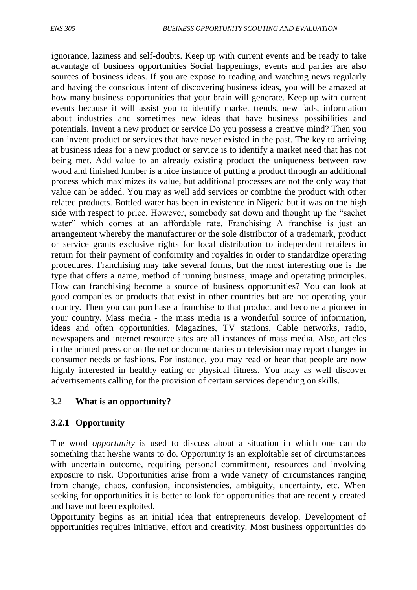ignorance, laziness and self-doubts. Keep up with current events and be ready to take advantage of business opportunities Social happenings, events and parties are also sources of business ideas. If you are expose to reading and watching news regularly and having the conscious intent of discovering business ideas, you will be amazed at how many business opportunities that your brain will generate. Keep up with current events because it will assist you to identify market trends, new fads, information about industries and sometimes new ideas that have business possibilities and potentials. Invent a new product or service Do you possess a creative mind? Then you can invent product or services that have never existed in the past. The key to arriving at business ideas for a new product or service is to identify a market need that has not being met. Add value to an already existing product the uniqueness between raw wood and finished lumber is a nice instance of putting a product through an additional process which maximizes its value, but additional processes are not the only way that value can be added. You may as well add services or combine the product with other related products. Bottled water has been in existence in Nigeria but it was on the high side with respect to price. However, somebody sat down and thought up the "sachet" water" which comes at an affordable rate. Franchising A franchise is just an arrangement whereby the manufacturer or the sole distributor of a trademark, product or service grants exclusive rights for local distribution to independent retailers in return for their payment of conformity and royalties in order to standardize operating procedures. Franchising may take several forms, but the most interesting one is the type that offers a name, method of running business, image and operating principles. How can franchising become a source of business opportunities? You can look at good companies or products that exist in other countries but are not operating your country. Then you can purchase a franchise to that product and become a pioneer in your country. Mass media - the mass media is a wonderful source of information, ideas and often opportunities. Magazines, TV stations, Cable networks, radio, newspapers and internet resource sites are all instances of mass media. Also, articles in the printed press or on the net or documentaries on television may report changes in consumer needs or fashions. For instance, you may read or hear that people are now highly interested in healthy eating or physical fitness. You may as well discover advertisements calling for the provision of certain services depending on skills.

## **3.2 What is an opportunity?**

#### **3.2.1 Opportunity**

The word *opportunity* is used to discuss about a situation in which one can do something that he/she wants to do. Opportunity is an exploitable set of circumstances with uncertain outcome, requiring personal commitment, resources and involving exposure to risk. Opportunities arise from a wide variety of circumstances ranging from change, chaos, confusion, inconsistencies, ambiguity, uncertainty, etc. When seeking for opportunities it is better to look for opportunities that are recently created and have not been exploited.

Opportunity begins as an initial idea that entrepreneurs develop. Development of opportunities requires initiative, effort and creativity. Most business opportunities do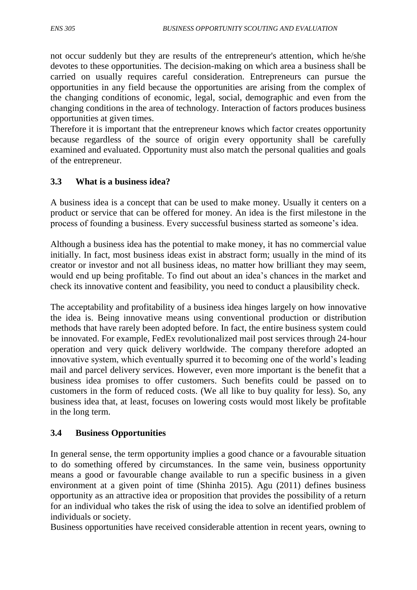not occur suddenly but they are results of the entrepreneur's attention, which he/she devotes to these opportunities. The decision-making on which area a business shall be carried on usually requires careful consideration. Entrepreneurs can pursue the opportunities in any field because the opportunities are arising from the complex of the changing conditions of economic, legal, social, demographic and even from the changing conditions in the area of technology. Interaction of factors produces business opportunities at given times.

Therefore it is important that the entrepreneur knows which factor creates opportunity because regardless of the source of origin every opportunity shall be carefully examined and evaluated. Opportunity must also match the personal qualities and goals of the entrepreneur.

## **3.3 What is a business idea?**

A business idea is a concept that can be used to make money. Usually it centers on a product or service that can be offered for money. An idea is the first milestone in the process of founding a business. Every successful business started as someone's idea.

Although a business idea has the potential to make money, it has no commercial value initially. In fact, most business ideas exist in abstract form; usually in the mind of its creator or investor and not all business ideas, no matter how brilliant they may seem, would end up being profitable. To find out about an idea's chances in the market and check its innovative content and feasibility, you need to conduct a plausibility check.

The acceptability and profitability of a business idea hinges largely on how innovative the idea is. Being innovative means using conventional production or distribution methods that have rarely been adopted before. In fact, the entire business system could be innovated. For example, FedEx revolutionalized mail post services through 24-hour operation and very quick delivery worldwide. The company therefore adopted an innovative system, which eventually spurred it to becoming one of the world's leading mail and parcel delivery services. However, even more important is the benefit that a business idea promises to offer customers. Such benefits could be passed on to customers in the form of reduced costs. (We all like to buy quality for less). So, any business idea that, at least, focuses on lowering costs would most likely be profitable in the long term.

## **3.4 Business Opportunities**

In general sense, the term opportunity implies a good chance or a favourable situation to do something offered by circumstances. In the same vein, business opportunity means a good or favourable change available to run a specific business in a given environment at a given point of time (Shinha 2015). Agu (2011) defines business opportunity as an attractive idea or proposition that provides the possibility of a return for an individual who takes the risk of using the idea to solve an identified problem of individuals or society.

Business opportunities have received considerable attention in recent years, owning to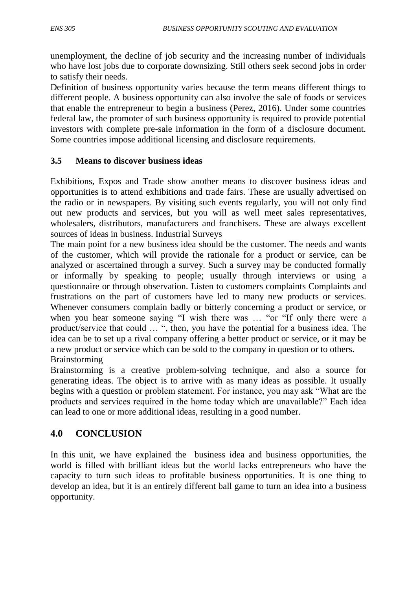unemployment, the decline of job security and the increasing number of individuals who have lost jobs due to corporate downsizing. Still others seek second jobs in order to satisfy their needs.

Definition of business opportunity varies because the term means different things to different people. A business opportunity can also involve the sale of foods or services that enable the entrepreneur to begin a business (Perez, 2016). Under some countries federal law, the promoter of such business opportunity is required to provide potential investors with complete pre-sale information in the form of a disclosure document. Some countries impose additional licensing and disclosure requirements.

## **3.5 Means to discover business ideas**

Exhibitions, Expos and Trade show another means to discover business ideas and opportunities is to attend exhibitions and trade fairs. These are usually advertised on the radio or in newspapers. By visiting such events regularly, you will not only find out new products and services, but you will as well meet sales representatives, wholesalers, distributors, manufacturers and franchisers. These are always excellent sources of ideas in business. Industrial Surveys

The main point for a new business idea should be the customer. The needs and wants of the customer, which will provide the rationale for a product or service, can be analyzed or ascertained through a survey. Such a survey may be conducted formally or informally by speaking to people; usually through interviews or using a questionnaire or through observation. Listen to customers complaints Complaints and frustrations on the part of customers have led to many new products or services. Whenever consumers complain badly or bitterly concerning a product or service, or when you hear someone saying "I wish there was ... "or "If only there were a product/service that could ... ", then, you have the potential for a business idea. The idea can be to set up a rival company offering a better product or service, or it may be a new product or service which can be sold to the company in question or to others. Brainstorming

Brainstorming is a creative problem-solving technique, and also a source for generating ideas. The object is to arrive with as many ideas as possible. It usually begins with a question or problem statement. For instance, you may ask "What are the products and services required in the home today which are unavailable?" Each idea can lead to one or more additional ideas, resulting in a good number.

# **4.0 CONCLUSION**

In this unit, we have explained the business idea and business opportunities, the world is filled with brilliant ideas but the world lacks entrepreneurs who have the capacity to turn such ideas to profitable business opportunities. It is one thing to develop an idea, but it is an entirely different ball game to turn an idea into a business opportunity.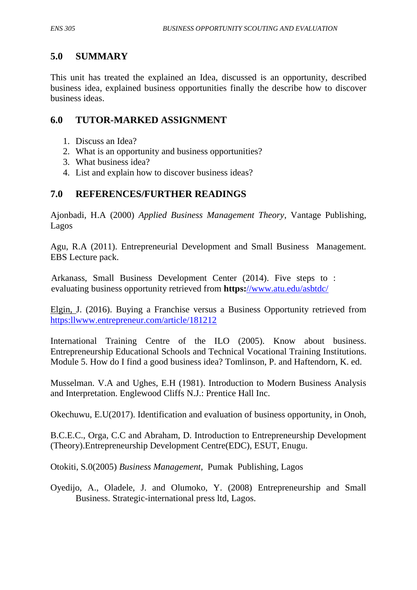## **5.0 SUMMARY**

This unit has treated the explained an Idea, discussed is an opportunity, described business idea, explained business opportunities finally the describe how to discover business ideas.

## **6.0 TUTOR-MARKED ASSIGNMENT**

- 1. Discuss an Idea?
- 2. What is an opportunity and business opportunities?
- 3. What business idea?
- 4. List and explain how to discover business ideas?

## **7.0 REFERENCES/FURTHER READINGS**

Ajonbadi, H.A (2000) *Applied Business Management Theory*, Vantage Publishing, Lagos

Agu, R.A (2011). Entrepreneurial Development and Small Business Management. EBS Lecture pack.

Arkanass, Small Business Development Center (2014). Five steps to : evaluating business opportunity retrieved from **https:**[//www.atu.edu/asbtdc/](http://)

Elgin, J. (2016). Buying a Franchise versus a Business Opportunity retrieved from [https:llwww.entrepreneur.com/article/181212](http://https:llwww.entrepreneur.com/article/181212)

International Training Centre of the ILO (2005). Know about business. Entrepreneurship Educational Schools and Technical Vocational Training Institutions. Module 5. How do I find a good business idea? Tomlinson, P. and Haftendorn, K. ed.

Musselman. V.A and Ughes, E.H (1981). Introduction to Modern Business Analysis and Interpretation. Englewood Cliffs N.J.: Prentice Hall Inc.

Okechuwu, E.U(2017). Identification and evaluation of business opportunity, in Onoh,

B.C.E.C., Orga, C.C and Abraham, D. Introduction to Entrepreneurship Development (Theory).Entrepreneurship Development Centre(EDC), ESUT, Enugu.

Otokiti, S.0(2005) *Business Management,* Pumak Publishing, Lagos

Oyedijo, A., Oladele, J. and Olumoko, Y. (2008) Entrepreneurship and Small Business. Strategic-international press ltd, Lagos.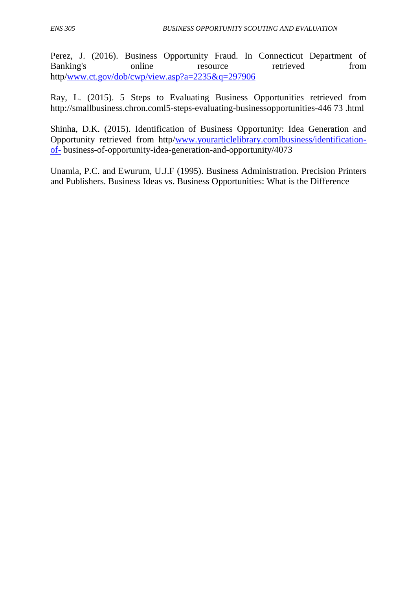Perez, J. (2016). Business Opportunity Fraud. In Connecticut Department of Banking's online resource retrieved from http[/www.ct.gov/dob/cwp/view.asp?a=2235&q=297906](http://www.ct.gov/dob/cwp/view.asp?a=2235&q=297906)

Ray, L. (2015). 5 Steps to Evaluating Business Opportunities retrieved from http://smallbusiness.chron.coml5-steps-evaluating-businessopportunities-446 73 .html

Shinha, D.K. (2015). Identification of Business Opportunity: Idea Generation and Opportunity retrieved from http[/www.yourarticlelibrary.comlbusiness/identification](http://www.yourarticlelibrary.comlbusiness/identification-of-)[of-](http://www.yourarticlelibrary.comlbusiness/identification-of-) business-of-opportunity-idea-generation-and-opportunity/4073

Unamla, P.C. and Ewurum, U.J.F (1995). Business Administration. Precision Printers and Publishers. Business Ideas vs. Business Opportunities: What is the Difference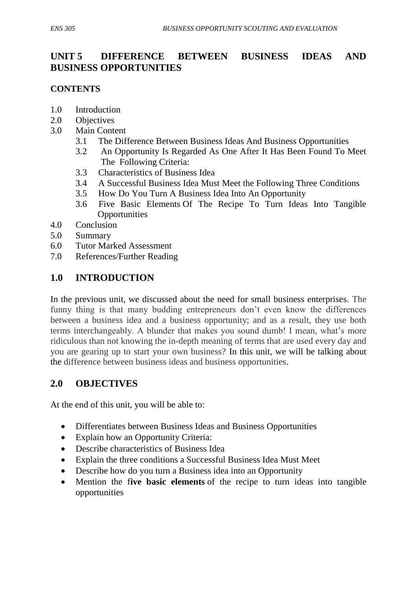# **UNIT 5 DIFFERENCE BETWEEN BUSINESS IDEAS AND BUSINESS OPPORTUNITIES**

#### **CONTENTS**

- 1.0 Introduction
- 2.0 Objectives
- 3.0 Main Content
	- 3.1 The Difference Between Business Ideas And Business Opportunities
	- 3.2 An Opportunity Is Regarded As One After It Has Been Found To Meet The Following Criteria:
	- 3.3 Characteristics of Business Idea
	- 3.4 A Successful Business Idea Must Meet the Following Three Conditions
	- 3.5 How Do You Turn A Business Idea Into An Opportunity
	- 3.6 Five Basic Elements Of The Recipe To Turn Ideas Into Tangible **Opportunities**
- 4.0 Conclusion
- 5.0 Summary
- 6.0 Tutor Marked Assessment
- 7.0 References/Further Reading

## **1.0 INTRODUCTION**

In the previous unit, we discussed about the need for small business enterprises. The funny thing is that many budding entrepreneurs don't even know the differences between a business idea and a business opportunity; and as a result, they use both terms interchangeably. A blunder that makes you sound dumb! I mean, what's more ridiculous than not knowing the in-depth meaning of terms that are used every day and you are gearing up to start your own business? In this unit, we will be talking about the difference between business ideas and business opportunities.

## **2.0 OBJECTIVES**

At the end of this unit, you will be able to:

- Differentiates between Business Ideas and Business Opportunities
- Explain how an Opportunity Criteria:
- Describe characteristics of Business Idea
- Explain the three conditions a Successful Business Idea Must Meet
- Describe how do you turn a Business idea into an Opportunity
- Mention the f**ive basic elements** of the recipe to turn ideas into tangible opportunities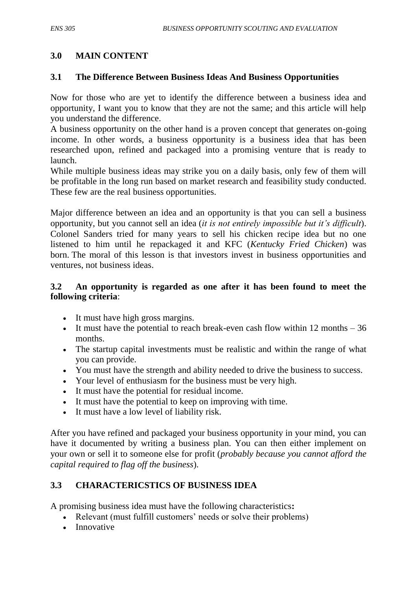## **3.0 MAIN CONTENT**

## **3.1 The Difference Between Business Ideas And Business Opportunities**

Now for those who are yet to identify the difference between a business idea and opportunity, I want you to know that they are not the same; and this article will help you understand the difference.

A business opportunity on the other hand is a proven concept that generates on-going income. In other words, a business opportunity is a business idea that has been researched upon, refined and packaged into a promising venture that is ready to launch.

While multiple business ideas may strike you on a daily basis, only few of them will be profitable in the long run based on market research and feasibility study conducted. These few are the real business opportunities.

Major difference between an idea and an opportunity is that you can sell a business opportunity, but you cannot sell an idea (*it is not entirely impossible but it's difficult*). Colonel Sanders tried for many years to sell his chicken recipe idea but no one listened to him until he repackaged it and KFC (*Kentucky Fried Chicken*) was born. The moral of this lesson is that investors invest in business opportunities and ventures, not business ideas.

## **3.2 An opportunity is regarded as one after it has been found to meet the following criteria**:

- It must have high gross margins.
- It must have the potential to reach break-even cash flow within  $12$  months  $-36$ months.
- The startup capital investments must be realistic and within the range of what you can provide.
- You must have the strength and ability needed to drive the business to success.
- Your level of enthusiasm for the business must be very high.
- It must have the potential for residual income.
- It must have the potential to keep on improving with time.
- It must have a low level of liability risk.

After you have refined and packaged your business opportunity in your mind, you can have it documented by writing a business plan. You can then either implement on your own or sell it to someone else for profit (*probably because you cannot afford the capital required to flag off the business*).

## **3.3 CHARACTERICSTICS OF BUSINESS IDEA**

A promising business idea must have the following characteristics**:**

- Relevant (must fulfill customers' needs or solve their problems)
- Innovative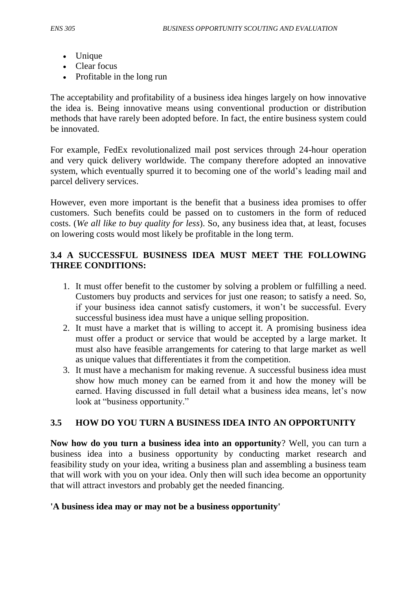- Unique
- Clear focus
- Profitable in the long run

The acceptability and profitability of a business idea hinges largely on how innovative the idea is. Being innovative means using conventional production or distribution methods that have rarely been adopted before. In fact, the entire business system could be innovated.

For example, FedEx revolutionalized mail post services through 24-hour operation and very quick delivery worldwide. The company therefore adopted an innovative system, which eventually spurred it to becoming one of the world's leading mail and parcel delivery services.

However, even more important is the benefit that a business idea promises to offer customers. Such benefits could be passed on to customers in the form of reduced costs. (*We all like to buy quality for less*). So, any business idea that, at least, focuses on lowering costs would most likely be profitable in the long term.

## **3.4 A SUCCESSFUL BUSINESS IDEA MUST MEET THE FOLLOWING THREE CONDITIONS:**

- 1. It must offer benefit to the customer by solving a problem or fulfilling a need. Customers buy products and services for just one reason; to satisfy a need. So, if your business idea cannot satisfy customers, it won't be successful. Every successful business idea must have a unique selling proposition.
- 2. It must have a market that is willing to accept it. A promising business idea must offer a product or service that would be accepted by a large market. It must also have feasible arrangements for catering to that large market as well as unique values that differentiates it from the competition.
- 3. It must have a mechanism for making revenue. A successful business idea must show how much money can be earned from it and how the money will be earned. Having discussed in full detail what a business idea means, let's now look at "business opportunity."

## **3.5 HOW DO YOU TURN A BUSINESS IDEA INTO AN OPPORTUNITY**

**Now how do you turn a business idea into an opportunity**? Well, you can turn a business idea into a business opportunity by conducting market research and feasibility study on your idea, writing a business plan and assembling a business team that will work with you on your idea. Only then will such idea become an opportunity that will attract investors and probably get the needed financing.

#### **'A business idea may or may not be a business opportunity'**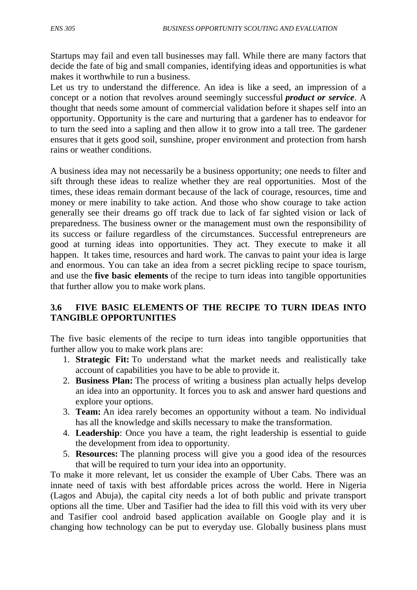Startups may fail and even tall businesses may fall. While there are many factors that decide the fate of big and small companies, identifying ideas and opportunities is what makes it worthwhile to run a business.

Let us try to understand the difference. An idea is like a seed, an impression of a concept or a notion that revolves around seemingly successful *product or service*. A thought that needs some amount of commercial validation before it shapes self into an opportunity. Opportunity is the care and nurturing that a gardener has to endeavor for to turn the seed into a sapling and then allow it to grow into a tall tree. The gardener ensures that it gets good soil, sunshine, proper environment and protection from harsh rains or weather conditions.

A business idea may not necessarily be a business opportunity; one needs to filter and sift through these ideas to realize whether they are real opportunities. Most of the times, these ideas remain dormant because of the lack of courage, resources, time and money or mere inability to take action. And those who show courage to take action generally see their dreams go off track due to lack of far sighted vision or lack of preparedness. The business owner or the management must own the responsibility of its success or failure regardless of the circumstances. Successful entrepreneurs are good at turning ideas into opportunities. They act. They execute to make it all happen. It takes time, resources and hard work. The canvas to paint your idea is large and enormous. You can take an idea from a secret pickling recipe to space tourism, and use the **five basic elements** of the recipe to turn ideas into tangible opportunities that further allow you to make work plans.

## **3.6 FIVE BASIC ELEMENTS OF THE RECIPE TO TURN IDEAS INTO TANGIBLE OPPORTUNITIES**

The five basic elements of the recipe to turn ideas into tangible opportunities that further allow you to make work plans are:

- 1. **Strategic Fit:** To understand what the market needs and realistically take account of capabilities you have to be able to provide it.
- 2. **Business Plan:** The process of writing a business plan actually helps develop an idea into an opportunity. It forces you to ask and answer hard questions and explore your options.
- 3. **Team:** An idea rarely becomes an opportunity without a team. No individual has all the knowledge and skills necessary to make the transformation.
- 4. **Leadership**: Once you have a team, the right leadership is essential to guide the development from idea to opportunity.
- 5. **Resources:** The planning process will give you a good idea of the resources that will be required to turn your idea into an opportunity.

To make it more relevant, let us consider the example of Uber Cabs. There was an innate need of taxis with best affordable prices across the world. Here in Nigeria (Lagos and Abuja), the capital city needs a lot of both public and private transport options all the time. Uber and Tasifier had the idea to fill this void with its very uber and Tasifier cool android based application available on Google play and it is changing how technology can be put to everyday use. Globally business plans must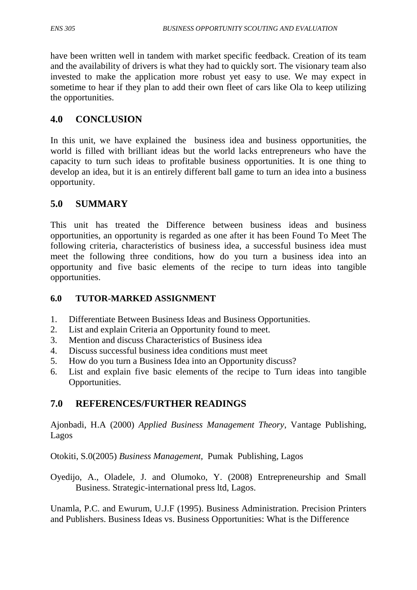have been written well in tandem with market specific feedback. Creation of its team and the availability of drivers is what they had to quickly sort. The visionary team also invested to make the application more robust yet easy to use. We may expect in sometime to hear if they plan to add their own fleet of cars like Ola to keep utilizing the opportunities.

## **4.0 CONCLUSION**

In this unit, we have explained the business idea and business opportunities, the world is filled with brilliant ideas but the world lacks entrepreneurs who have the capacity to turn such ideas to profitable business opportunities. It is one thing to develop an idea, but it is an entirely different ball game to turn an idea into a business opportunity.

## **5.0 SUMMARY**

This unit has treated the Difference between business ideas and business opportunities, an opportunity is regarded as one after it has been Found To Meet The following criteria, characteristics of business idea, a successful business idea must meet the following three conditions, how do you turn a business idea into an opportunity and five basic elements of the recipe to turn ideas into tangible opportunities.

## **6.0 TUTOR-MARKED ASSIGNMENT**

- 1. Differentiate Between Business Ideas and Business Opportunities.
- 2. List and explain Criteria an Opportunity found to meet.
- 3. Mention and discuss Characteristics of Business idea
- 4. Discuss successful business idea conditions must meet
- 5. How do you turn a Business Idea into an Opportunity discuss?
- 6. List and explain five basic elements of the recipe to Turn ideas into tangible Opportunities.

# **7.0 REFERENCES/FURTHER READINGS**

Ajonbadi, H.A (2000) *Applied Business Management Theory*, Vantage Publishing, Lagos

Otokiti, S.0(2005) *Business Management,* Pumak Publishing, Lagos

Oyedijo, A., Oladele, J. and Olumoko, Y. (2008) Entrepreneurship and Small Business. Strategic-international press ltd, Lagos.

Unamla, P.C. and Ewurum, U.J.F (1995). Business Administration. Precision Printers and Publishers. Business Ideas vs. Business Opportunities: What is the Difference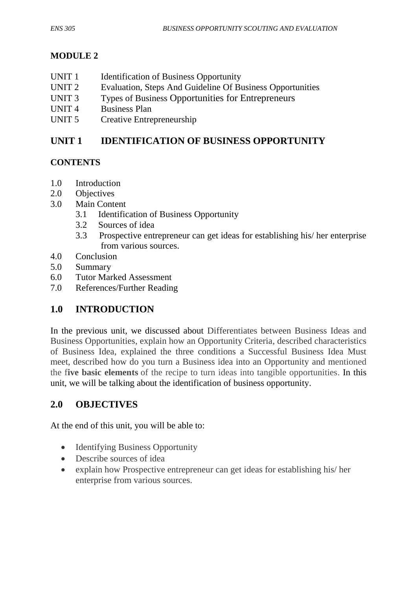# **MODULE 2**

- UNIT 1 Identification of Business Opportunity
- UNIT 2 Evaluation, Steps And Guideline Of Business Opportunities
- UNIT 3 Types of Business Opportunities for Entrepreneurs
- UNIT 4 Business Plan
- UNIT 5 Creative Entrepreneurship

# **UNIT 1 IDENTIFICATION OF BUSINESS OPPORTUNITY**

## **CONTENTS**

- 1.0 Introduction
- 2.0 Objectives
- 3.0 Main Content
	- 3.1 Identification of Business Opportunity
	- 3.2 Sources of idea
	- 3.3 Prospective entrepreneur can get ideas for establishing his/ her enterprise from various sources.
- 4.0 Conclusion
- 5.0 Summary
- 6.0 Tutor Marked Assessment
- 7.0 References/Further Reading

# **1.0 INTRODUCTION**

In the previous unit, we discussed about Differentiates between Business Ideas and Business Opportunities, explain how an Opportunity Criteria, described characteristics of Business Idea, explained the three conditions a Successful Business Idea Must meet, described how do you turn a Business idea into an Opportunity and mentioned the f**ive basic elements** of the recipe to turn ideas into tangible opportunities. In this unit, we will be talking about the identification of business opportunity.

# **2.0 OBJECTIVES**

At the end of this unit, you will be able to:

- Identifying Business Opportunity
- Describe sources of idea
- explain how Prospective entrepreneur can get ideas for establishing his/ her enterprise from various sources.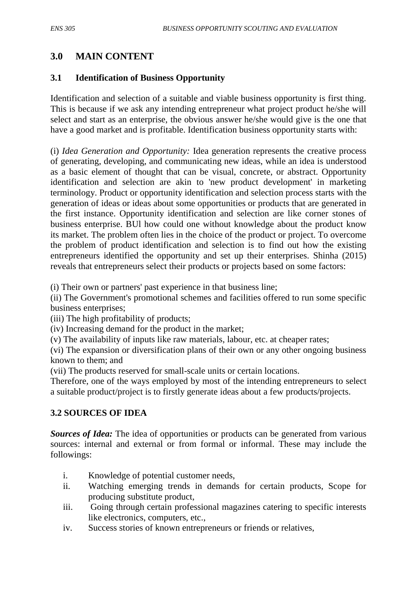## **3.0 MAIN CONTENT**

#### **3.1 Identification of Business Opportunity**

Identification and selection of a suitable and viable business opportunity is first thing. This is because if we ask any intending entrepreneur what project product he/she will select and start as an enterprise, the obvious answer he/she would give is the one that have a good market and is profitable. Identification business opportunity starts with:

(i) *Idea Generation and Opportunity:* Idea generation represents the creative process of generating, developing, and communicating new ideas, while an idea is understood as a basic element of thought that can be visual, concrete, or abstract. Opportunity identification and selection are akin to 'new product development' in marketing terminology. Product or opportunity identification and selection process starts with the generation of ideas or ideas about some opportunities or products that are generated in the first instance. Opportunity identification and selection are like corner stones of business enterprise. BUl how could one without knowledge about the product know its market. The problem often lies in the choice of the product or project. To overcome the problem of product identification and selection is to find out how the existing entrepreneurs identified the opportunity and set up their enterprises. Shinha (2015) reveals that entrepreneurs select their products or projects based on some factors:

(i) Their own or partners' past experience in that business line;

(ii) The Government's promotional schemes and facilities offered to run some specific business enterprises;

(iii) The high profitability of products;

(iv) Increasing demand for the product in the market;

(v) The availability of inputs like raw materials, labour, etc. at cheaper rates;

(vi) The expansion or diversification plans of their own or any other ongoing business known to them; and

(vii) The products reserved for small-scale units or certain locations.

Therefore, one of the ways employed by most of the intending entrepreneurs to select a suitable product/project is to firstly generate ideas about a few products/projects.

#### **3.2 SOURCES OF IDEA**

*Sources of Idea:* The idea of opportunities or products can be generated from various sources: internal and external or from formal or informal. These may include the followings:

- i. Knowledge of potential customer needs,
- ii. Watching emerging trends in demands for certain products, Scope for producing substitute product,
- iii. Going through certain professional magazines catering to specific interests like electronics, computers, etc.,
- iv. Success stories of known entrepreneurs or friends or relatives,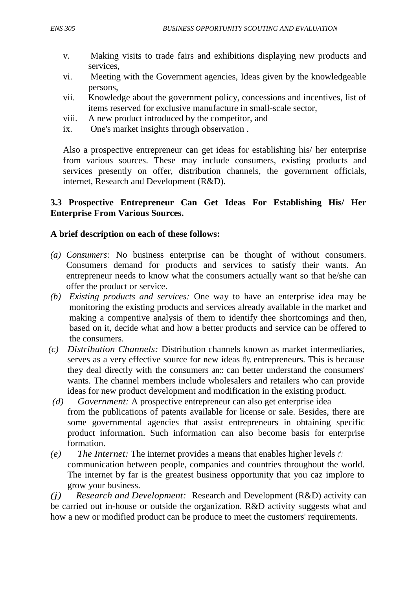- v. Making visits to trade fairs and exhibitions displaying new products and services,
- vi. Meeting with the Government agencies, Ideas given by the knowledgeable persons,
- vii. Knowledge about the government policy, concessions and incentives, list of items reserved for exclusive manufacture in small-scale sector,
- viii. A new product introduced by the competitor, and
- ix. One's market insights through observation .

Also a prospective entrepreneur can get ideas for establishing his/ her enterprise from various sources. These may include consumers, existing products and services presently on offer, distribution channels, the governrnent officials, internet, Research and Development (R&D).

#### **3.3 Prospective Entrepreneur Can Get Ideas For Establishing His/ Her Enterprise From Various Sources.**

#### **A brief description on each of these follows:**

- *(a) Consumers:* No business enterprise can be thought of without consumers. Consumers demand for products and services to satisfy their wants. An entrepreneur needs to know what the consumers actually want so that he/she can offer the product or service.
- *(b) Existing products and services:* One way to have an enterprise idea may be monitoring the existing products and services already available in the market and making a compentive analysis of them to identify thee shortcomings and then, based on it, decide what and how a better products and service can be offered to the consumers.
- *(c) Distribution Channels:* Distribution channels known as market intermediaries, serves as a very effective source for new ideas fly. entrepreneurs. This is because they deal directly with the consumers an:: can better understand the consumers' wants. The channel members include wholesalers and retailers who can provide ideas for new product development and modification in the existing product.
- *(d) Government:* A prospective entrepreneur can also get enterprise idea from the publications of patents available for license or sale. Besides, there are some governmental agencies that assist entrepreneurs in obtaining specific product information. Such information can also become basis for enterprise formation.
- *(e) The Internet:* The internet provides a means that enables higher levels *c':*  communication between people, companies and countries throughout the world. The internet by far is the greatest business opportunity that you caz implore to grow your business.

*(j) Research and Development:* Research and Development (R&D) activity can be carried out in-house or outside the organization. R&D activity suggests what and how a new or modified product can be produce to meet the customers' requirements.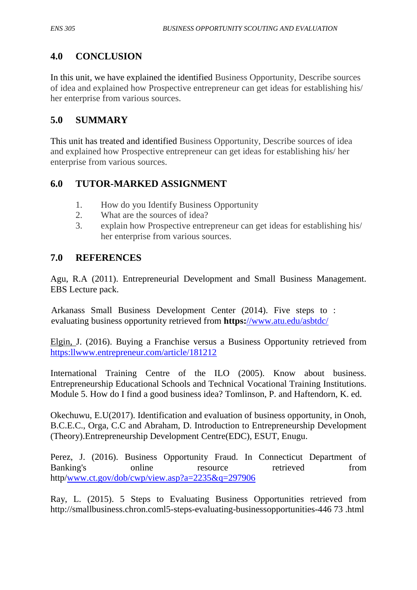# **4.0 CONCLUSION**

In this unit, we have explained the identified Business Opportunity, Describe sources of idea and explained how Prospective entrepreneur can get ideas for establishing his/ her enterprise from various sources.

# **5.0 SUMMARY**

This unit has treated and identified Business Opportunity, Describe sources of idea and explained how Prospective entrepreneur can get ideas for establishing his/ her enterprise from various sources.

# **6.0 TUTOR-MARKED ASSIGNMENT**

- 1. How do you Identify Business Opportunity
- 2. What are the sources of idea?
- 3. explain how Prospective entrepreneur can get ideas for establishing his/ her enterprise from various sources.

# **7.0 REFERENCES**

Agu, R.A (2011). Entrepreneurial Development and Small Business Management. EBS Lecture pack.

Arkanass Small Business Development Center (2014). Five steps to : evaluating business opportunity retrieved from **https:**[//www.atu.edu/asbtdc/](http://)

Elgin, J. (2016). Buying a Franchise versus a Business Opportunity retrieved from [https:llwww.entrepreneur.com/article/181212](http://https:llwww.entrepreneur.com/article/181212)

International Training Centre of the ILO (2005). Know about business. Entrepreneurship Educational Schools and Technical Vocational Training Institutions. Module 5. How do I find a good business idea? Tomlinson, P. and Haftendorn, K. ed.

Okechuwu, E.U(2017). Identification and evaluation of business opportunity, in Onoh, B.C.E.C., Orga, C.C and Abraham, D. Introduction to Entrepreneurship Development (Theory).Entrepreneurship Development Centre(EDC), ESUT, Enugu.

Perez, J. (2016). Business Opportunity Fraud. In Connecticut Department of Banking's online resource retrieved from http[/www.ct.gov/dob/cwp/view.asp?a=2235&q=297906](http://www.ct.gov/dob/cwp/view.asp?a=2235&q=297906)

Ray, L. (2015). 5 Steps to Evaluating Business Opportunities retrieved from http://smallbusiness.chron.coml5-steps-evaluating-businessopportunities-446 73 .html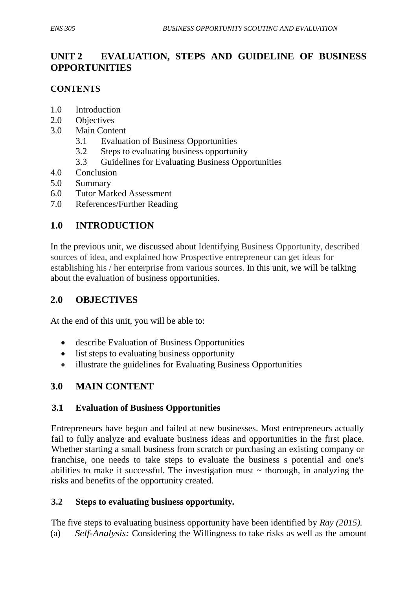# **UNIT 2 EVALUATION, STEPS AND GUIDELINE OF BUSINESS OPPORTUNITIES**

## **CONTENTS**

- 1.0 Introduction
- 2.0 Objectives
- 3.0 Main Content
	- 3.1 Evaluation of Business Opportunities
	- 3.2 Steps to evaluating business opportunity
	- 3.3 Guidelines for Evaluating Business Opportunities
- 4.0 Conclusion
- 5.0 Summary
- 6.0 Tutor Marked Assessment
- 7.0 References/Further Reading

# **1.0 INTRODUCTION**

In the previous unit, we discussed about Identifying Business Opportunity, described sources of idea, and explained how Prospective entrepreneur can get ideas for establishing his / her enterprise from various sources. In this unit, we will be talking about the evaluation of business opportunities.

# **2.0 OBJECTIVES**

At the end of this unit, you will be able to:

- describe Evaluation of Business Opportunities
- list steps to evaluating business opportunity
- illustrate the guidelines for Evaluating Business Opportunities

## **3.0 MAIN CONTENT**

## **3.1 Evaluation of Business Opportunities**

Entrepreneurs have begun and failed at new businesses. Most entrepreneurs actually fail to fully analyze and evaluate business ideas and opportunities in the first place. Whether starting a small business from scratch or purchasing an existing company or franchise, one needs to take steps to evaluate the business s potential and one's abilities to make it successful. The investigation must  $\sim$  thorough, in analyzing the risks and benefits of the opportunity created.

## **3.2 Steps to evaluating business opportunity***.*

The five steps to evaluating business opportunity have been identified by *Ray (2015).* (a) *Self-Analysis:* Considering the Willingness to take risks as well as the amount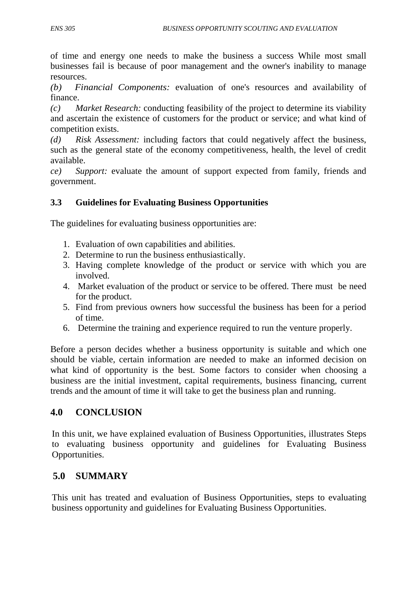of time and energy one needs to make the business a success While most small businesses fail is because of poor management and the owner's inability to manage resources.

*(b) Financial Components:* evaluation of one's resources and availability of finance.

*(c) Market Research:* conducting feasibility of the project to determine its viability and ascertain the existence of customers for the product or service; and what kind of competition exists.

*(d) Risk Assessment:* including factors that could negatively affect the business, such as the general state of the economy competitiveness, health, the level of credit available.

*ce) Support:* evaluate the amount of support expected from family, friends and government.

## **3.3 Guidelines for Evaluating Business Opportunities**

The guidelines for evaluating business opportunities are:

- 1. Evaluation of own capabilities and abilities.
- 2. Determine to run the business enthusiastically.
- 3. Having complete knowledge of the product or service with which you are involved.
- 4. Market evaluation of the product or service to be offered. There must be need for the product.
- 5. Find from previous owners how successful the business has been for a period of time.
- 6. Determine the training and experience required to run the venture properly.

Before a person decides whether a business opportunity is suitable and which one should be viable, certain information are needed to make an informed decision on what kind of opportunity is the best. Some factors to consider when choosing a business are the initial investment, capital requirements, business financing, current trends and the amount of time it will take to get the business plan and running.

# **4.0 CONCLUSION**

In this unit, we have explained evaluation of Business Opportunities, illustrates Steps to evaluating business opportunity and guidelines for Evaluating Business Opportunities.

# **5.0 SUMMARY**

This unit has treated and evaluation of Business Opportunities, steps to evaluating business opportunity and guidelines for Evaluating Business Opportunities.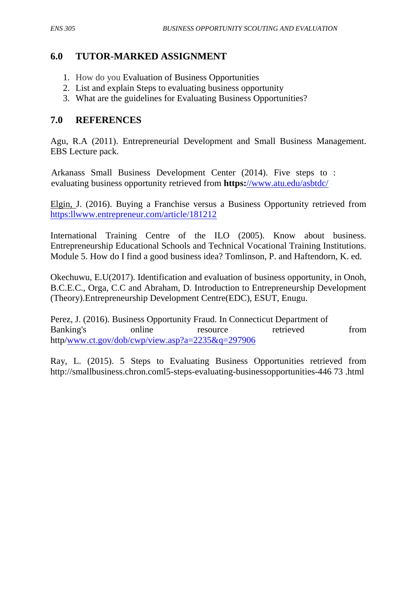## **6.0 TUTOR-MARKED ASSIGNMENT**

- 1. How do you Evaluation of Business Opportunities
- 2. List and explain Steps to evaluating business opportunity
- 3. What are the guidelines for Evaluating Business Opportunities?

## **7.0 REFERENCES**

Agu, R.A (2011). Entrepreneurial Development and Small Business Management. EBS Lecture pack.

Arkanass Small Business Development Center (2014). Five steps to : evaluating business opportunity retrieved from **https:**[//www.atu.edu/asbtdc/](http://)

Elgin, J. (2016). Buying a Franchise versus a Business Opportunity retrieved from [https:llwww.entrepreneur.com/article/181212](http://https:llwww.entrepreneur.com/article/181212)

International Training Centre of the ILO (2005). Know about business. Entrepreneurship Educational Schools and Technical Vocational Training Institutions. Module 5. How do I find a good business idea? Tomlinson, P. and Haftendorn, K. ed.

Okechuwu, E.U(2017). Identification and evaluation of business opportunity, in Onoh, B.C.E.C., Orga, C.C and Abraham, D. Introduction to Entrepreneurship Development (Theory).Entrepreneurship Development Centre(EDC), ESUT, Enugu.

Perez, J. (2016). Business Opportunity Fraud. In Connecticut Department of Banking's online resource retrieved from http[/www.ct.gov/dob/cwp/view.asp?a=2235&q=297906](http://www.ct.gov/dob/cwp/view.asp?a=2235&q=297906)

Ray, L. (2015). 5 Steps to Evaluating Business Opportunities retrieved from http://smallbusiness.chron.coml5-steps-evaluating-businessopportunities-446 73 .html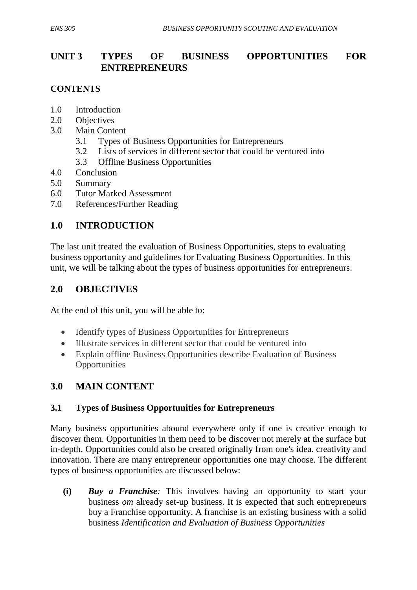# **UNIT 3 TYPES OF BUSINESS OPPORTUNITIES FOR ENTREPRENEURS**

### **CONTENTS**

- 1.0 Introduction
- 2.0 Objectives
- 3.0 Main Content
	- 3.1Types of Business Opportunities for Entrepreneurs
	- 3.2 Lists of services in different sector that could be ventured into
	- 3.3 Offline Business Opportunities
- 4.0 Conclusion
- 5.0 Summary
- 6.0 Tutor Marked Assessment
- 7.0 References/Further Reading

# **1.0 INTRODUCTION**

The last unit treated the evaluation of Business Opportunities, steps to evaluating business opportunity and guidelines for Evaluating Business Opportunities. In this unit, we will be talking about the types of business opportunities for entrepreneurs.

## **2.0 OBJECTIVES**

At the end of this unit, you will be able to:

- Identify types of Business Opportunities for Entrepreneurs
- Illustrate services in different sector that could be ventured into
- Explain offline Business Opportunities describe Evaluation of Business **Opportunities**

## **3.0 MAIN CONTENT**

## **3.1 Types of Business Opportunities for Entrepreneurs**

Many business opportunities abound everywhere only if one is creative enough to discover them. Opportunities in them need to be discover not merely at the surface but in-depth. Opportunities could also be created originally from one's idea. creativity and innovation. There are many entrepreneur opportunities one may choose. The different types of business opportunities are discussed below:

**(i)** *Buy a Franchise:* This involves having an opportunity to start your business *om* already set-up business. It is expected that such entrepreneurs buy a Franchise opportunity. A franchise is an existing business with a solid business *Identification and Evaluation of Business Opportunities*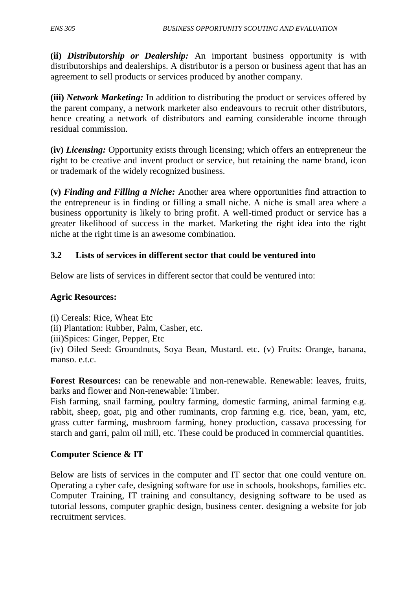**(ii)** *Distributorship or Dealership:* An important business opportunity is with distributorships and dealerships. A distributor is a person or business agent that has an agreement to sell products or services produced by another company.

**(iii)** *Network Marketing:* In addition to distributing the product or services offered by the parent company, a network marketer also endeavours to recruit other distributors, hence creating a network of distributors and earning considerable income through residual commission.

**(iv)** *Licensing:* Opportunity exists through licensing; which offers an entrepreneur the right to be creative and invent product or service, but retaining the name brand, icon or trademark of the widely recognized business.

**(v)** *Finding and Filling a Niche:* Another area where opportunities find attraction to the entrepreneur is in finding or filling a small niche. A niche is small area where a business opportunity is likely to bring profit. A well-timed product or service has a greater likelihood of success in the market. Marketing the right idea into the right niche at the right time is an awesome combination.

### **3.2 Lists of services in different sector that could be ventured into**

Below are lists of services in different sector that could be ventured into:

#### **Agric Resources:**

(i) Cereals: Rice, Wheat Etc (ii) Plantation: Rubber, Palm, Casher, etc. (iii)Spices: Ginger, Pepper, Etc (iv) Oiled Seed: Groundnuts, Soya Bean, Mustard. etc. (v) Fruits: Orange, banana, manso. e.t.c.

**Forest Resources:** can be renewable and non-renewable. Renewable: leaves, fruits, barks and flower and Non-renewable: Timber.

Fish farming, snail farming, poultry farming, domestic farming, animal farming e.g. rabbit, sheep, goat, pig and other ruminants, crop farming e.g. rice, bean, yam, etc, grass cutter farming, mushroom farming, honey production, cassava processing for starch and garri, palm oil mill, etc. These could be produced in commercial quantities.

#### **Computer Science & IT**

Below are lists of services in the computer and IT sector that one could venture on. Operating a cyber cafe, designing software for use in schools, bookshops, families etc. Computer Training, IT training and consultancy, designing software to be used as tutorial lessons, computer graphic design, business center. designing a website for job recruitment services.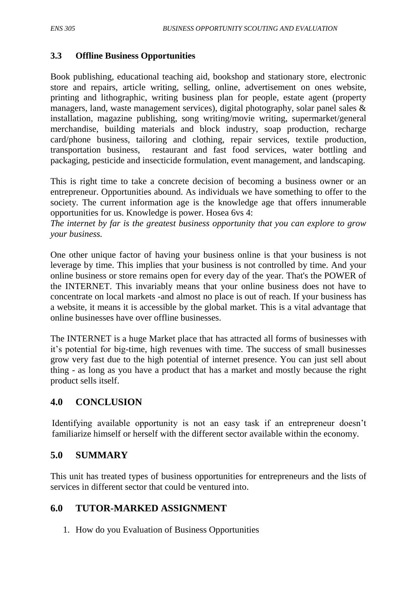#### **3.3 Offline Business Opportunities**

Book publishing, educational teaching aid, bookshop and stationary store, electronic store and repairs, article writing, selling, online, advertisement on ones website, printing and lithographic, writing business plan for people, estate agent (property managers, land, waste management services), digital photography, solar panel sales & installation, magazine publishing, song writing/movie writing, supermarket/general merchandise, building materials and block industry, soap production, recharge card/phone business, tailoring and clothing, repair services, textile production, transportation business, restaurant and fast food services, water bottling and packaging, pesticide and insecticide formulation, event management, and landscaping.

This is right time to take a concrete decision of becoming a business owner or an entrepreneur. Opportunities abound. As individuals we have something to offer to the society. The current information age is the knowledge age that offers innumerable opportunities for us. Knowledge is power. Hosea 6vs 4:

*The internet by far is the greatest business opportunity that you can explore to grow your business.* 

One other unique factor of having your business online is that your business is not leverage by time. This implies that your business is not controlled by time. And your online business or store remains open for every day of the year. That's the POWER of the INTERNET. This invariably means that your online business does not have to concentrate on local markets -and almost no place is out of reach. If your business has a website, it means it is accessible by the global market. This is a vital advantage that online businesses have over offline businesses.

The INTERNET is a huge Market place that has attracted all forms of businesses with it's potential for big-time, high revenues with time. The success of small businesses grow very fast due to the high potential of internet presence. You can just sell about thing - as long as you have a product that has a market and mostly because the right product sells itself.

## **4.0 CONCLUSION**

Identifying available opportunity is not an easy task if an entrepreneur doesn't familiarize himself or herself with the different sector available within the economy.

#### **5.0 SUMMARY**

This unit has treated types of business opportunities for entrepreneurs and the lists of services in different sector that could be ventured into.

## **6.0 TUTOR-MARKED ASSIGNMENT**

1. How do you Evaluation of Business Opportunities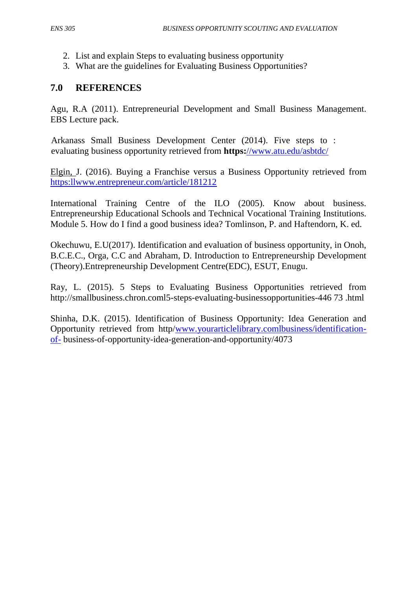- 2. List and explain Steps to evaluating business opportunity
- 3. What are the guidelines for Evaluating Business Opportunities?

## **7.0 REFERENCES**

Agu, R.A (2011). Entrepreneurial Development and Small Business Management. EBS Lecture pack.

Arkanass Small Business Development Center (2014). Five steps to : evaluating business opportunity retrieved from **https:**[//www.atu.edu/asbtdc/](http://)

Elgin, J. (2016). Buying a Franchise versus a Business Opportunity retrieved from [https:llwww.entrepreneur.com/article/181212](http://https:llwww.entrepreneur.com/article/181212)

International Training Centre of the ILO (2005). Know about business. Entrepreneurship Educational Schools and Technical Vocational Training Institutions. Module 5. How do I find a good business idea? Tomlinson, P. and Haftendorn, K. ed.

Okechuwu, E.U(2017). Identification and evaluation of business opportunity, in Onoh, B.C.E.C., Orga, C.C and Abraham, D. Introduction to Entrepreneurship Development (Theory).Entrepreneurship Development Centre(EDC), ESUT, Enugu.

Ray, L. (2015). 5 Steps to Evaluating Business Opportunities retrieved from http://smallbusiness.chron.coml5-steps-evaluating-businessopportunities-446 73 .html

Shinha, D.K. (2015). Identification of Business Opportunity: Idea Generation and Opportunity retrieved from http[/www.yourarticlelibrary.comlbusiness/identification](http://www.yourarticlelibrary.comlbusiness/identification-of-)[of-](http://www.yourarticlelibrary.comlbusiness/identification-of-) business-of-opportunity-idea-generation-and-opportunity/4073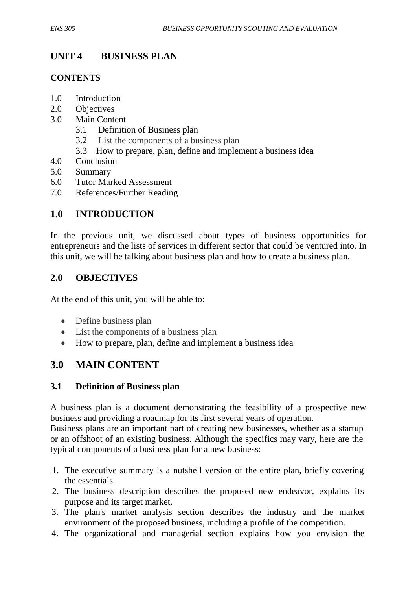# **UNIT 4 BUSINESS PLAN**

### **CONTENTS**

- 1.0 Introduction
- 2.0 Objectives
- 3.0 Main Content
	- 3.1Definition of Business plan
	- 3.2 List the components of a business plan
	- 3.3 How to prepare, plan, define and implement a business idea
- 4.0 Conclusion
- 5.0 Summary
- 6.0 Tutor Marked Assessment
- 7.0 References/Further Reading

## **1.0 INTRODUCTION**

In the previous unit, we discussed about types of business opportunities for entrepreneurs and the lists of services in different sector that could be ventured into. In this unit, we will be talking about business plan and how to create a business plan.

## **2.0 OBJECTIVES**

At the end of this unit, you will be able to:

- Define business plan
- List the components of a business plan
- How to prepare, plan, define and implement a business idea

# **3.0 MAIN CONTENT**

#### **3.1 Definition of Business plan**

A business plan is a document demonstrating the feasibility of a prospective new business and providing a roadmap for its first several years of operation.

Business plans are an important part of creating new businesses, whether as a startup or an offshoot of an existing business. Although the specifics may vary, here are the typical components of a business plan for a new business:

- 1. The executive summary is a nutshell version of the entire plan, briefly covering the essentials.
- 2. The business description describes the proposed new endeavor, explains its purpose and its target market.
- 3. The plan's market analysis section describes the industry and the market environment of the proposed business, including a profile of the competition.
- 4. The organizational and managerial section explains how you envision the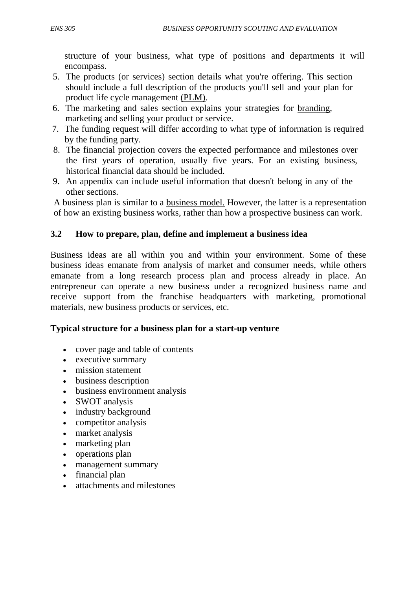structure of your business, what type of positions and departments it will encompass.

- 5. The products (or services) section details what you're offering. This section should include a full description of the products you'll sell and your plan for product life cycle management (PLM).
- 6. The marketing and sales section explains your strategies for branding, marketing and selling your product or service.
- 7. The funding request will differ according to what type of information is required by the funding party.
- 8. The financial projection covers the expected performance and milestones over the first years of operation, usually five years. For an existing business, historical financial data should be included.
- 9. An appendix can include useful information that doesn't belong in any of the other sections.

A business plan is similar to a business model. However, the latter is a representation of how an existing business works, rather than how a prospective business can work.

#### **3.2 How to prepare, plan, define and implement a business idea**

Business ideas are all within you and within your environment. Some of these business ideas emanate from analysis of market and consumer needs, while others emanate from a long research process plan and process already in place. An entrepreneur can operate a new business under a recognized business name and receive support from the franchise headquarters with marketing, promotional materials, new business products or services, etc.

#### **Typical structure for a business plan for a start-up venture**

- cover page and table of contents
- $\bullet$  [executive summary](https://en.wikipedia.org/wiki/Executive_summary)
- [mission statement](https://en.wikipedia.org/wiki/Mission_statement)
- business description
- business environment analysis
- [SWOT analysis](https://en.wikipedia.org/wiki/SWOT_analysis)
- industry background
- [competitor analysis](https://en.wikipedia.org/wiki/Competitor_analysis)
- [market analysis](https://en.wikipedia.org/wiki/Market_analysis)
- [marketing plan](https://en.wikipedia.org/wiki/Marketing_plan)
- [operations plan](https://en.wikipedia.org/wiki/Operational_planning)
- management summary
- [financial plan](https://en.wikipedia.org/wiki/Financial_plan)
- attachments and milestones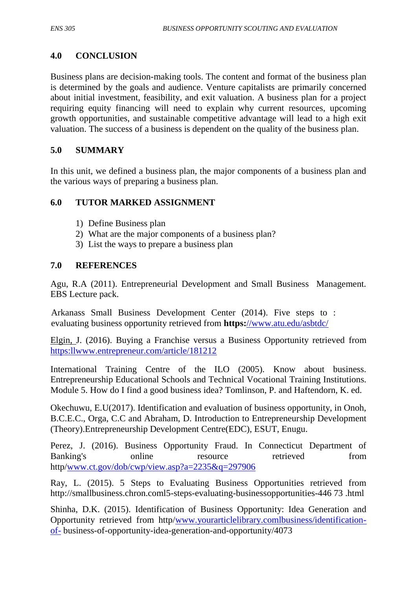### **4.0 CONCLUSION**

Business plans are [decision-making tools.](https://en.wikipedia.org/wiki/Decision-making_tools) The content and format of the business plan is determined by the goals and audience. [Venture capitalists](https://en.wikipedia.org/wiki/Venture_capitalists) are primarily concerned about initial investment, feasibility, and exit valuation. A business plan for a project requiring equity financing will need to explain why current resources, upcoming growth opportunities, and [sustainable competitive advantage](https://en.wikipedia.org/wiki/Sustainable_competitive_advantage) will lead to a high exit valuation. The success of a business is dependent on the quality of the business plan.

#### **5.0 SUMMARY**

In this unit, we defined a business plan, the major components of a business plan and the various ways of preparing a business plan.

#### **6.0 TUTOR MARKED ASSIGNMENT**

- 1) Define Business plan
- 2) What are the major components of a business plan?
- 3) List the ways to prepare a business plan

#### **7.0 REFERENCES**

Agu, R.A (2011). Entrepreneurial Development and Small Business Management. EBS Lecture pack.

Arkanass Small Business Development Center (2014). Five steps to : evaluating business opportunity retrieved from **https:**[//www.atu.edu/asbtdc/](http://)

Elgin, J. (2016). Buying a Franchise versus a Business Opportunity retrieved from [https:llwww.entrepreneur.com/article/181212](http://https:llwww.entrepreneur.com/article/181212)

International Training Centre of the ILO (2005). Know about business. Entrepreneurship Educational Schools and Technical Vocational Training Institutions. Module 5. How do I find a good business idea? Tomlinson, P. and Haftendorn, K. ed.

Okechuwu, E.U(2017). Identification and evaluation of business opportunity, in Onoh, B.C.E.C., Orga, C.C and Abraham, D. Introduction to Entrepreneurship Development (Theory).Entrepreneurship Development Centre(EDC), ESUT, Enugu.

Perez, J. (2016). Business Opportunity Fraud. In Connecticut Department of Banking's online resource retrieved from http[/www.ct.gov/dob/cwp/view.asp?a=2235&q=297906](http://www.ct.gov/dob/cwp/view.asp?a=2235&q=297906)

Ray, L. (2015). 5 Steps to Evaluating Business Opportunities retrieved from http://smallbusiness.chron.coml5-steps-evaluating-businessopportunities-446 73 .html

Shinha, D.K. (2015). Identification of Business Opportunity: Idea Generation and Opportunity retrieved from http[/www.yourarticlelibrary.comlbusiness/identification](http://www.yourarticlelibrary.comlbusiness/identification-of-)[of-](http://www.yourarticlelibrary.comlbusiness/identification-of-) business-of-opportunity-idea-generation-and-opportunity/4073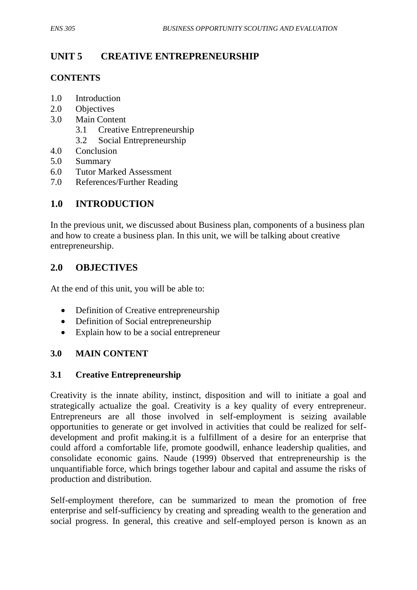# **UNIT 5 CREATIVE ENTREPRENEURSHIP**

## **CONTENTS**

- 1.0 Introduction
- 2.0 Objectives
- 3.0 Main Content
	- 3.1Creative Entrepreneurship
	- 3.2 Social Entrepreneurship
- 4.0 Conclusion
- 5.0 Summary
- 6.0 Tutor Marked Assessment
- 7.0 References/Further Reading

## **1.0 INTRODUCTION**

In the previous unit, we discussed about Business plan, components of a business plan and how to create a business plan. In this unit, we will be talking about creative entrepreneurship.

## **2.0 OBJECTIVES**

At the end of this unit, you will be able to:

- Definition of Creative entrepreneurship
- Definition of Social entrepreneurship
- Explain how to be a social entrepreneur

#### **3.0 MAIN CONTENT**

#### **3.1 Creative Entrepreneurship**

Creativity is the innate ability, instinct, disposition and will to initiate a goal and strategically actualize the goal. Creativity is a key quality of every entrepreneur. Entrepreneurs are all those involved in self-employment is seizing available opportunities to generate or get involved in activities that could be realized for selfdevelopment and profit making.it is a fulfillment of a desire for an enterprise that could afford a comfortable life, promote goodwill, enhance leadership qualities, and consolidate economic gains. Naude (1999) 0bserved that entrepreneurship is the unquantifiable force, which brings together labour and capital and assume the risks of production and distribution.

Self-employment therefore, can be summarized to mean the promotion of free enterprise and self-sufficiency by creating and spreading wealth to the generation and social progress. In general, this creative and self-employed person is known as an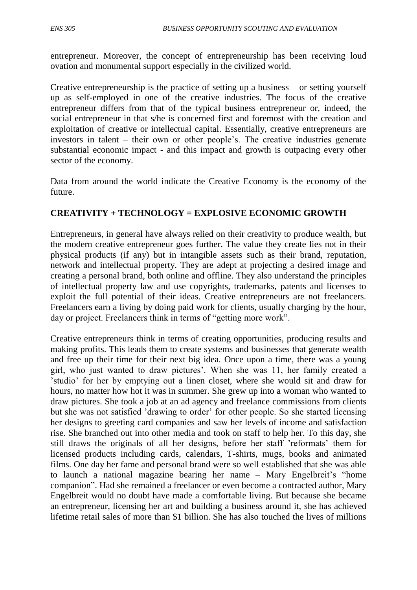entrepreneur. Moreover, the concept of entrepreneurship has been receiving loud ovation and monumental support especially in the civilized world.

Creative entrepreneurship is the practice of setting up a business – or setting yourself up as self-employed in one of the creative industries. The focus of the creative entrepreneur differs from that of the typical business entrepreneur or, indeed, the social entrepreneur in that s/he is concerned first and foremost with the creation and exploitation of creative or intellectual capital. Essentially, creative entrepreneurs are investors in talent – their own or other people's. The creative industries generate substantial economic impact - and this impact and growth is outpacing every other sector of the economy.

Data from around the world indicate the Creative Economy is the economy of the future.

### **CREATIVITY + TECHNOLOGY = EXPLOSIVE ECONOMIC GROWTH**

Entrepreneurs, in general have always relied on their creativity to produce wealth, but the modern creative entrepreneur goes further. The value they create lies not in their physical products (if any) but in intangible assets such as their brand, reputation, network and intellectual property. They are adept at projecting a desired image and creating a personal brand, both online and offline. They also understand the principles of intellectual property law and use copyrights, trademarks, patents and licenses to exploit the full potential of their ideas. Creative entrepreneurs are not freelancers. Freelancers earn a living by doing paid work for clients, usually charging by the hour, day or project. Freelancers think in terms of "getting more work".

Creative entrepreneurs think in terms of creating opportunities, producing results and making profits. This leads them to create systems and businesses that generate wealth and free up their time for their next big idea. Once upon a time, there was a young girl, who just wanted to draw pictures'. When she was 11, her family created a 'studio' for her by emptying out a linen closet, where she would sit and draw for hours, no matter how hot it was in summer. She grew up into a woman who wanted to draw pictures. She took a job at an ad agency and freelance commissions from clients but she was not satisfied 'drawing to order' for other people. So she started licensing her designs to greeting card companies and saw her levels of income and satisfaction rise. She branched out into other media and took on staff to help her. To this day, she still draws the originals of all her designs, before her staff 'reformats' them for licensed products including cards, calendars, T-shirts, mugs, books and animated films. One day her fame and personal brand were so well established that she was able to launch a national magazine bearing her name – Mary Engelbreit's "home companion". Had she remained a freelancer or even become a contracted author, Mary Engelbreit would no doubt have made a comfortable living. But because she became an entrepreneur, licensing her art and building a business around it, she has achieved lifetime retail sales of more than \$1 billion. She has also touched the lives of millions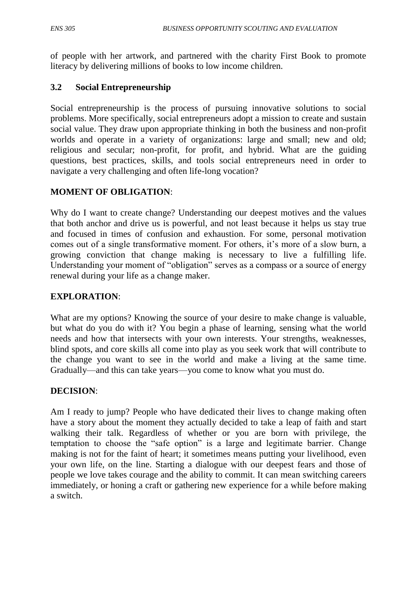of people with her artwork, and partnered with the charity First Book to promote literacy by delivering millions of books to low income children.

### **3.2 Social Entrepreneurship**

Social entrepreneurship is the process of pursuing innovative solutions to social problems. More specifically, social entrepreneurs adopt a mission to create and sustain social value. They draw upon appropriate thinking in both the business and non-profit worlds and operate in a variety of organizations: large and small; new and old; religious and secular; non-profit, for profit, and hybrid. What are the guiding questions, best practices, skills, and tools social entrepreneurs need in order to navigate a very challenging and often life-long vocation?

### **MOMENT OF OBLIGATION**:

Why do I want to create change? Understanding our deepest motives and the values that both anchor and drive us is powerful, and not least because it helps us stay true and focused in times of confusion and exhaustion. For some, personal motivation comes out of a single transformative moment. For others, it's more of a slow burn, a growing conviction that change making is necessary to live a fulfilling life. Understanding your moment of "obligation" serves as a compass or a source of energy renewal during your life as a change maker.

#### **EXPLORATION**:

What are my options? Knowing the source of your desire to make change is valuable, but what do you do with it? You begin a phase of learning, sensing what the world needs and how that intersects with your own interests. Your strengths, weaknesses, blind spots, and core skills all come into play as you seek work that will contribute to the change you want to see in the world and make a living at the same time. Gradually—and this can take years—you come to know what you must do.

#### **DECISION**:

Am I ready to jump? People who have dedicated their lives to change making often have a story about the moment they actually decided to take a leap of faith and start walking their talk. Regardless of whether or you are born with privilege, the temptation to choose the "safe option" is a large and legitimate barrier. Change making is not for the faint of heart; it sometimes means putting your livelihood, even your own life, on the line. Starting a dialogue with our deepest fears and those of people we love takes courage and the ability to commit. It can mean switching careers immediately, or honing a craft or gathering new experience for a while before making a switch.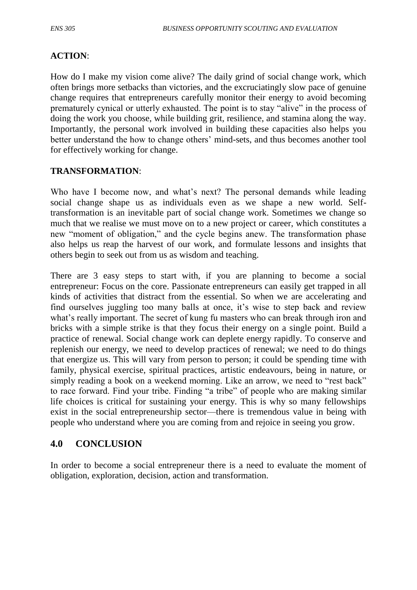#### **ACTION**:

How do I make my vision come alive? The daily grind of social change work, which often brings more setbacks than victories, and the excruciatingly slow pace of genuine change requires that entrepreneurs carefully monitor their energy to avoid becoming prematurely cynical or utterly exhausted. The point is to stay "alive" in the process of doing the work you choose, while building grit, resilience, and stamina along the way. Importantly, the personal work involved in building these capacities also helps you better understand the how to change others' mind-sets, and thus becomes another tool for effectively working for change.

#### **TRANSFORMATION**:

Who have I become now, and what's next? The personal demands while leading social change shape us as individuals even as we shape a new world. Selftransformation is an inevitable part of social change work. Sometimes we change so much that we realise we must move on to a new project or career, which constitutes a new "moment of obligation," and the cycle begins anew. The transformation phase also helps us reap the harvest of our work, and formulate lessons and insights that others begin to seek out from us as wisdom and teaching.

There are 3 easy steps to start with, if you are planning to become a social entrepreneur: Focus on the core. Passionate entrepreneurs can easily get trapped in all kinds of activities that distract from the essential. So when we are accelerating and find ourselves juggling too many balls at once, it's wise to step back and review what's really important. The secret of kung fu masters who can break through iron and bricks with a simple strike is that they focus their energy on a single point. Build a practice of renewal. Social change work can deplete energy rapidly. To conserve and replenish our energy, we need to develop practices of renewal; we need to do things that energize us. This will vary from person to person; it could be spending time with family, physical exercise, spiritual practices, artistic endeavours, being in nature, or simply reading a book on a weekend morning. Like an arrow, we need to "rest back" to race forward. Find your tribe. Finding "a tribe" of people who are making similar life choices is critical for sustaining your energy. This is why so many fellowships exist in the social entrepreneurship sector—there is tremendous value in being with people who understand where you are coming from and rejoice in seeing you grow.

#### **4.0 CONCLUSION**

In order to become a social entrepreneur there is a need to evaluate the moment of obligation, exploration, decision, action and transformation.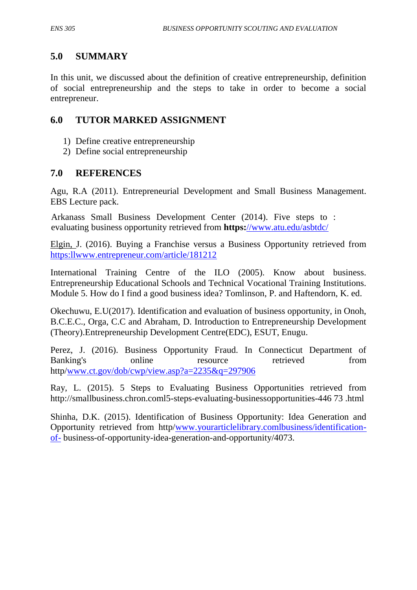## **5.0 SUMMARY**

In this unit, we discussed about the definition of creative entrepreneurship, definition of social entrepreneurship and the steps to take in order to become a social entrepreneur.

## **6.0 TUTOR MARKED ASSIGNMENT**

- 1) Define creative entrepreneurship
- 2) Define social entrepreneurship

### **7.0 REFERENCES**

Agu, R.A (2011). Entrepreneurial Development and Small Business Management. EBS Lecture pack.

Arkanass Small Business Development Center (2014). Five steps to : evaluating business opportunity retrieved from **https:**[//www.atu.edu/asbtdc/](http://)

Elgin, J. (2016). Buying a Franchise versus a Business Opportunity retrieved from [https:llwww.entrepreneur.com/article/181212](http://https:llwww.entrepreneur.com/article/181212)

International Training Centre of the ILO (2005). Know about business. Entrepreneurship Educational Schools and Technical Vocational Training Institutions. Module 5. How do I find a good business idea? Tomlinson, P. and Haftendorn, K. ed.

Okechuwu, E.U(2017). Identification and evaluation of business opportunity, in Onoh, B.C.E.C., Orga, C.C and Abraham, D. Introduction to Entrepreneurship Development (Theory).Entrepreneurship Development Centre(EDC), ESUT, Enugu.

Perez, J. (2016). Business Opportunity Fraud. In Connecticut Department of Banking's online resource retrieved from http[/www.ct.gov/dob/cwp/view.asp?a=2235&q=297906](http://www.ct.gov/dob/cwp/view.asp?a=2235&q=297906)

Ray, L. (2015). 5 Steps to Evaluating Business Opportunities retrieved from http://smallbusiness.chron.coml5-steps-evaluating-businessopportunities-446 73 .html

Shinha, D.K. (2015). Identification of Business Opportunity: Idea Generation and Opportunity retrieved from http[/www.yourarticlelibrary.comlbusiness/identification](http://www.yourarticlelibrary.comlbusiness/identification-of-)[of-](http://www.yourarticlelibrary.comlbusiness/identification-of-) business-of-opportunity-idea-generation-and-opportunity/4073.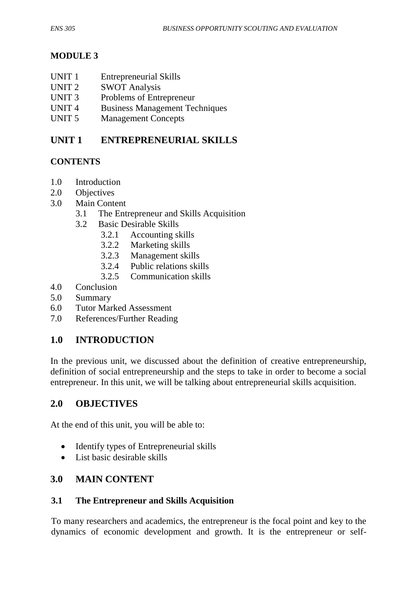## **MODULE 3**

- UNIT 1 Entrepreneurial Skills
- UNIT 2 SWOT Analysis
- UNIT 3 Problems of Entrepreneur
- UNIT 4 Business Management Techniques
- UNIT 5 Management Concepts

# **UNIT 1 ENTREPRENEURIAL SKILLS**

## **CONTENTS**

- 1.0 Introduction
- 2.0 Objectives
- 3.0 Main Content
	- 3.1The Entrepreneur and Skills Acquisition
	- 3.2 Basic Desirable Skills
		- 3.2.1 Accounting skills
		- 3.2.2 Marketing skills
		- 3.2.3 Management skills
		- 3.2.4 Public relations skills
		- 3.2.5 Communication skills
- 4.0 Conclusion
- 5.0 Summary
- 6.0 Tutor Marked Assessment
- 7.0 References/Further Reading

# **1.0 INTRODUCTION**

In the previous unit, we discussed about the definition of creative entrepreneurship, definition of social entrepreneurship and the steps to take in order to become a social entrepreneur. In this unit, we will be talking about entrepreneurial skills acquisition.

## **2.0 OBJECTIVES**

At the end of this unit, you will be able to:

- Identify types of Entrepreneurial skills
- List basic desirable skills

## **3.0 MAIN CONTENT**

#### **3.1 The Entrepreneur and Skills Acquisition**

To many researchers and academics, the entrepreneur is the focal point and key to the dynamics of economic development and growth. It is the entrepreneur or self-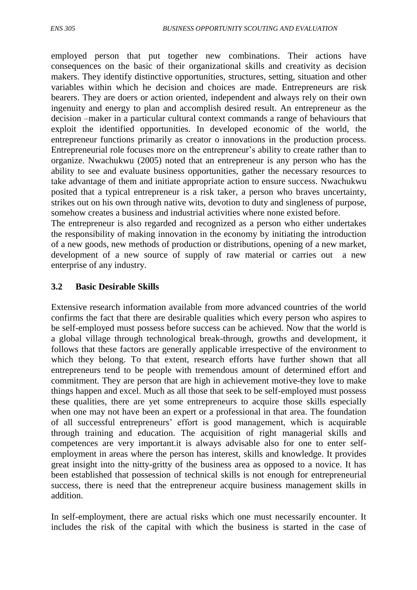employed person that put together new combinations. Their actions have consequences on the basic of their organizational skills and creativity as decision makers. They identify distinctive opportunities, structures, setting, situation and other variables within which he decision and choices are made. Entrepreneurs are risk bearers. They are doers or action oriented, independent and always rely on their own ingenuity and energy to plan and accomplish desired result. An entrepreneur as the decision –maker in a particular cultural context commands a range of behaviours that exploit the identified opportunities. In developed economic of the world, the entrepreneur functions primarily as creator o innovations in the production process. Entrepreneurial role focuses more on the entrepreneur's ability to create rather than to organize. Nwachukwu (2005) noted that an entrepreneur is any person who has the ability to see and evaluate business opportunities, gather the necessary resources to take advantage of them and initiate appropriate action to ensure success. Nwachukwu posited that a typical entrepreneur is a risk taker, a person who braves uncertainty, strikes out on his own through native wits, devotion to duty and singleness of purpose, somehow creates a business and industrial activities where none existed before.

The entrepreneur is also regarded and recognized as a person who either undertakes the responsibility of making innovation in the economy by initiating the introduction of a new goods, new methods of production or distributions, opening of a new market, development of a new source of supply of raw material or carries out a new enterprise of any industry.

### **3.2 Basic Desirable Skills**

Extensive research information available from more advanced countries of the world confirms the fact that there are desirable qualities which every person who aspires to be self-employed must possess before success can be achieved. Now that the world is a global village through technological break-through, growths and development, it follows that these factors are generally applicable irrespective of the environment to which they belong. To that extent, research efforts have further shown that all entrepreneurs tend to be people with tremendous amount of determined effort and commitment. They are person that are high in achievement motive-they love to make things happen and excel. Much as all those that seek to be self-employed must possess these qualities, there are yet some entrepreneurs to acquire those skills especially when one may not have been an expert or a professional in that area. The foundation of all successful entrepreneurs' effort is good management, which is acquirable through training and education. The acquisition of right managerial skills and competences are very important.it is always advisable also for one to enter selfemployment in areas where the person has interest, skills and knowledge. It provides great insight into the nitty-gritty of the business area as opposed to a novice. It has been established that possession of technical skills is not enough for entrepreneurial success, there is need that the entrepreneur acquire business management skills in addition.

In self-employment, there are actual risks which one must necessarily encounter. It includes the risk of the capital with which the business is started in the case of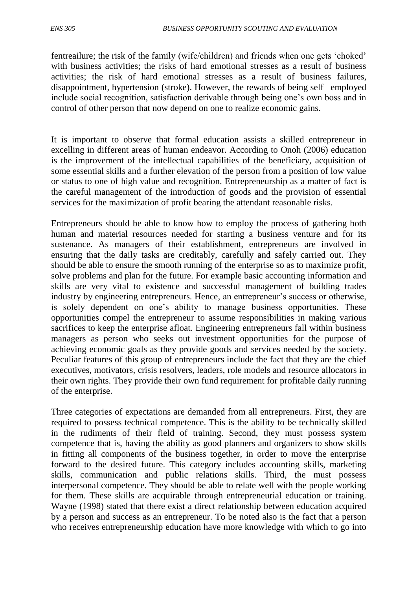fentreailure; the risk of the family (wife/children) and friends when one gets 'choked' with business activities; the risks of hard emotional stresses as a result of business activities; the risk of hard emotional stresses as a result of business failures, disappointment, hypertension (stroke). However, the rewards of being self –employed include social recognition, satisfaction derivable through being one's own boss and in control of other person that now depend on one to realize economic gains.

It is important to observe that formal education assists a skilled entrepreneur in excelling in different areas of human endeavor. According to Onoh (2006) education is the improvement of the intellectual capabilities of the beneficiary, acquisition of some essential skills and a further elevation of the person from a position of low value or status to one of high value and recognition. Entrepreneurship as a matter of fact is the careful management of the introduction of goods and the provision of essential services for the maximization of profit bearing the attendant reasonable risks.

Entrepreneurs should be able to know how to employ the process of gathering both human and material resources needed for starting a business venture and for its sustenance. As managers of their establishment, entrepreneurs are involved in ensuring that the daily tasks are creditably, carefully and safely carried out. They should be able to ensure the smooth running of the enterprise so as to maximize profit, solve problems and plan for the future. For example basic accounting information and skills are very vital to existence and successful management of building trades industry by engineering entrepreneurs. Hence, an entrepreneur's success or otherwise, is solely dependent on one's ability to manage business opportunities. These opportunities compel the entrepreneur to assume responsibilities in making various sacrifices to keep the enterprise afloat. Engineering entrepreneurs fall within business managers as person who seeks out investment opportunities for the purpose of achieving economic goals as they provide goods and services needed by the society. Peculiar features of this group of entrepreneurs include the fact that they are the chief executives, motivators, crisis resolvers, leaders, role models and resource allocators in their own rights. They provide their own fund requirement for profitable daily running of the enterprise.

Three categories of expectations are demanded from all entrepreneurs. First, they are required to possess technical competence. This is the ability to be technically skilled in the rudiments of their field of training. Second, they must possess system competence that is, having the ability as good planners and organizers to show skills in fitting all components of the business together, in order to move the enterprise forward to the desired future. This category includes accounting skills, marketing skills, communication and public relations skills. Third, the must possess interpersonal competence. They should be able to relate well with the people working for them. These skills are acquirable through entrepreneurial education or training. Wayne (1998) stated that there exist a direct relationship between education acquired by a person and success as an entrepreneur. To be noted also is the fact that a person who receives entrepreneurship education have more knowledge with which to go into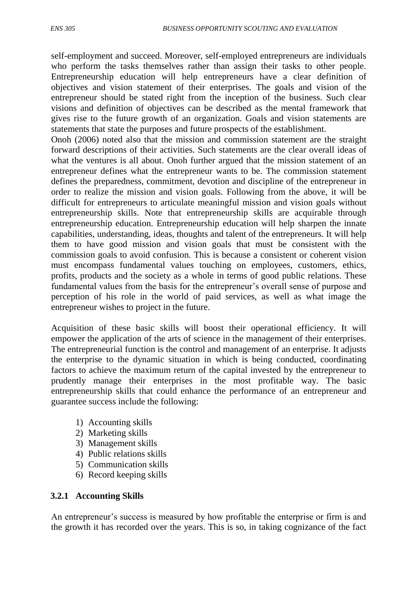self-employment and succeed. Moreover, self-employed entrepreneurs are individuals who perform the tasks themselves rather than assign their tasks to other people. Entrepreneurship education will help entrepreneurs have a clear definition of objectives and vision statement of their enterprises. The goals and vision of the entrepreneur should be stated right from the inception of the business. Such clear visions and definition of objectives can be described as the mental framework that gives rise to the future growth of an organization. Goals and vision statements are statements that state the purposes and future prospects of the establishment.

Onoh (2006) noted also that the mission and commission statement are the straight forward descriptions of their activities. Such statements are the clear overall ideas of what the ventures is all about. Onoh further argued that the mission statement of an entrepreneur defines what the entrepreneur wants to be. The commission statement defines the preparedness, commitment, devotion and discipline of the entrepreneur in order to realize the mission and vision goals. Following from the above, it will be difficult for entrepreneurs to articulate meaningful mission and vision goals without entrepreneurship skills. Note that entrepreneurship skills are acquirable through entrepreneurship education. Entrepreneurship education will help sharpen the innate capabilities, understanding, ideas, thoughts and talent of the entrepreneurs. It will help them to have good mission and vision goals that must be consistent with the commission goals to avoid confusion. This is because a consistent or coherent vision must encompass fundamental values touching on employees, customers, ethics, profits, products and the society as a whole in terms of good public relations. These fundamental values from the basis for the entrepreneur's overall sense of purpose and perception of his role in the world of paid services, as well as what image the entrepreneur wishes to project in the future.

Acquisition of these basic skills will boost their operational efficiency. It will empower the application of the arts of science in the management of their enterprises. The entrepreneurial function is the control and management of an enterprise. It adjusts the enterprise to the dynamic situation in which is being conducted, coordinating factors to achieve the maximum return of the capital invested by the entrepreneur to prudently manage their enterprises in the most profitable way. The basic entrepreneurship skills that could enhance the performance of an entrepreneur and guarantee success include the following:

- 1) Accounting skills
- 2) Marketing skills
- 3) Management skills
- 4) Public relations skills
- 5) Communication skills
- 6) Record keeping skills

#### **3.2.1 Accounting Skills**

An entrepreneur's success is measured by how profitable the enterprise or firm is and the growth it has recorded over the years. This is so, in taking cognizance of the fact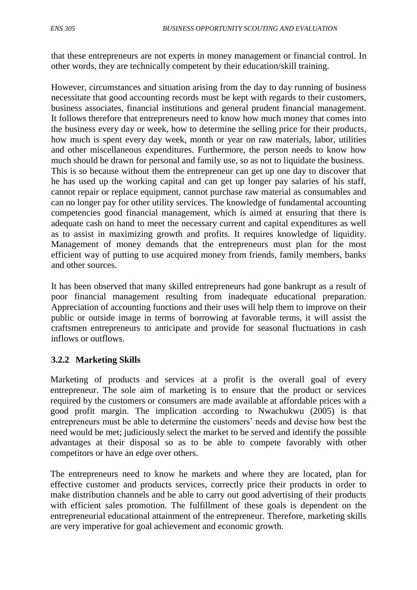that these entrepreneurs are not experts in money management or financial control. In other words, they are technically competent by their education/skill training.

However, circumstances and situation arising from the day to day running of business necessitate that good accounting records must be kept with regards to their customers, business associates, financial institutions and general prudent financial management. It follows therefore that entrepreneurs need to know how much money that comes into the business every day or week, how to determine the selling price for their products, how much is spent every day week, month or year on raw materials, labor, utilities and other miscellaneous expenditures. Furthermore, the person needs to know how much should be drawn for personal and family use, so as not to liquidate the business. This is so because without them the entrepreneur can get up one day to discover that he has used up the working capital and can get up longer pay salaries of his staff, cannot repair or replace equipment, cannot purchase raw material as consumables and can no longer pay for other utility services. The knowledge of fundamental accounting competencies good financial management, which is aimed at ensuring that there is adequate cash on hand to meet the necessary current and capital expenditures as well as to assist in maximizing growth and profits. It requires knowledge of liquidity. Management of money demands that the entrepreneurs must plan for the most efficient way of putting to use acquired money from friends, family members, banks and other sources.

It has been observed that many skilled entrepreneurs had gone bankrupt as a result of poor financial management resulting from inadequate educational preparation. Appreciation of accounting functions and their uses will help them to improve on their public or outside image in terms of borrowing at favorable terms, it will assist the craftsmen entrepreneurs to anticipate and provide for seasonal fluctuations in cash inflows or outflows.

#### **3.2.2 Marketing Skills**

Marketing of products and services at a profit is the overall goal of every entrepreneur. The sole aim of marketing is to ensure that the product or services required by the customers or consumers are made available at affordable prices with a good profit margin. The implication according to Nwachukwu (2005) is that entrepreneurs must be able to determine the customers' needs and devise how best the need would be met; judiciously select the market to be served and identify the possible advantages at their disposal so as to be able to compete favorably with other competitors or have an edge over others.

The entrepreneurs need to know he markets and where they are located, plan for effective customer and products services, correctly price their products in order to make distribution channels and be able to carry out good advertising of their products with efficient sales promotion. The fulfillment of these goals is dependent on the entrepreneurial educational attainment of the entrepreneur. Therefore, marketing skills are very imperative for goal achievement and economic growth.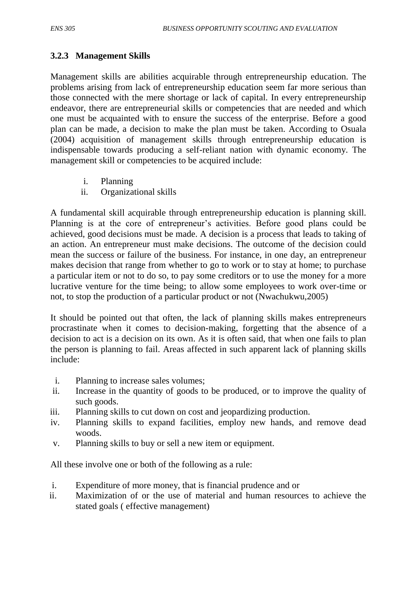## **3.2.3 Management Skills**

Management skills are abilities acquirable through entrepreneurship education. The problems arising from lack of entrepreneurship education seem far more serious than those connected with the mere shortage or lack of capital. In every entrepreneurship endeavor, there are entrepreneurial skills or competencies that are needed and which one must be acquainted with to ensure the success of the enterprise. Before a good plan can be made, a decision to make the plan must be taken. According to Osuala (2004) acquisition of management skills through entrepreneurship education is indispensable towards producing a self-reliant nation with dynamic economy. The management skill or competencies to be acquired include:

- i. Planning
- ii. Organizational skills

A fundamental skill acquirable through entrepreneurship education is planning skill. Planning is at the core of entrepreneur's activities. Before good plans could be achieved, good decisions must be made. A decision is a process that leads to taking of an action. An entrepreneur must make decisions. The outcome of the decision could mean the success or failure of the business. For instance, in one day, an entrepreneur makes decision that range from whether to go to work or to stay at home; to purchase a particular item or not to do so, to pay some creditors or to use the money for a more lucrative venture for the time being; to allow some employees to work over-time or not, to stop the production of a particular product or not (Nwachukwu,2005)

It should be pointed out that often, the lack of planning skills makes entrepreneurs procrastinate when it comes to decision-making, forgetting that the absence of a decision to act is a decision on its own. As it is often said, that when one fails to plan the person is planning to fail. Areas affected in such apparent lack of planning skills include:

- i. Planning to increase sales volumes;
- ii. Increase in the quantity of goods to be produced, or to improve the quality of such goods.
- iii. Planning skills to cut down on cost and jeopardizing production.
- iv. Planning skills to expand facilities, employ new hands, and remove dead woods.
- v. Planning skills to buy or sell a new item or equipment.

All these involve one or both of the following as a rule:

- i. Expenditure of more money, that is financial prudence and or
- ii. Maximization of or the use of material and human resources to achieve the stated goals ( effective management)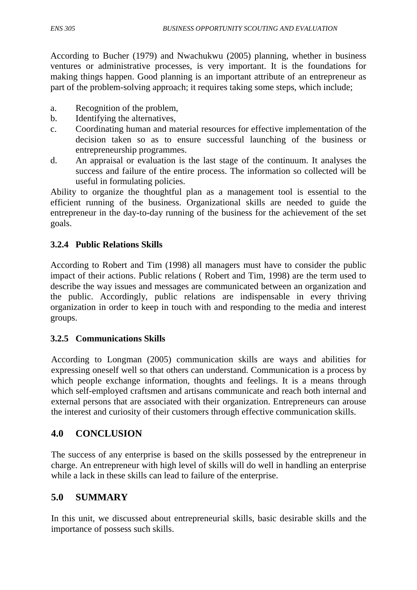According to Bucher (1979) and Nwachukwu (2005) planning, whether in business ventures or administrative processes, is very important. It is the foundations for making things happen. Good planning is an important attribute of an entrepreneur as part of the problem-solving approach; it requires taking some steps, which include;

- a. Recognition of the problem,
- b. Identifying the alternatives,
- c. Coordinating human and material resources for effective implementation of the decision taken so as to ensure successful launching of the business or entrepreneurship programmes.
- d. An appraisal or evaluation is the last stage of the continuum. It analyses the success and failure of the entire process. The information so collected will be useful in formulating policies.

Ability to organize the thoughtful plan as a management tool is essential to the efficient running of the business. Organizational skills are needed to guide the entrepreneur in the day-to-day running of the business for the achievement of the set goals.

### **3.2.4 Public Relations Skills**

According to Robert and Tim (1998) all managers must have to consider the public impact of their actions. Public relations ( Robert and Tim, 1998) are the term used to describe the way issues and messages are communicated between an organization and the public. Accordingly, public relations are indispensable in every thriving organization in order to keep in touch with and responding to the media and interest groups.

#### **3.2.5 Communications Skills**

According to Longman (2005) communication skills are ways and abilities for expressing oneself well so that others can understand. Communication is a process by which people exchange information, thoughts and feelings. It is a means through which self-employed craftsmen and artisans communicate and reach both internal and external persons that are associated with their organization. Entrepreneurs can arouse the interest and curiosity of their customers through effective communication skills.

## **4.0 CONCLUSION**

The success of any enterprise is based on the skills possessed by the entrepreneur in charge. An entrepreneur with high level of skills will do well in handling an enterprise while a lack in these skills can lead to failure of the enterprise.

## **5.0 SUMMARY**

In this unit, we discussed about entrepreneurial skills, basic desirable skills and the importance of possess such skills.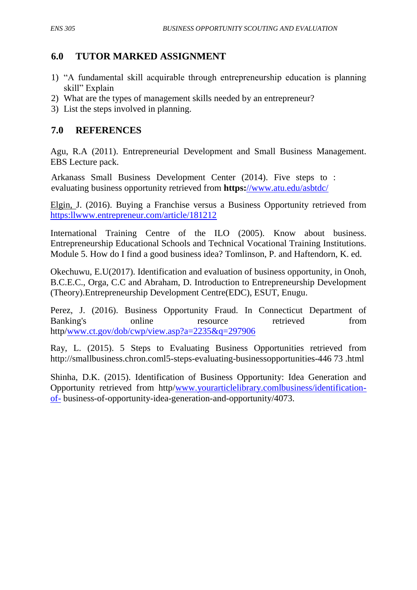## **6.0 TUTOR MARKED ASSIGNMENT**

- 1) "A fundamental skill acquirable through entrepreneurship education is planning skill" Explain
- 2) What are the types of management skills needed by an entrepreneur?
- 3) List the steps involved in planning.

## **7.0 REFERENCES**

Agu, R.A (2011). Entrepreneurial Development and Small Business Management. EBS Lecture pack.

Arkanass Small Business Development Center (2014). Five steps to : evaluating business opportunity retrieved from **https:**[//www.atu.edu/asbtdc/](http://)

Elgin, J. (2016). Buying a Franchise versus a Business Opportunity retrieved from [https:llwww.entrepreneur.com/article/181212](http://https:llwww.entrepreneur.com/article/181212)

International Training Centre of the ILO (2005). Know about business. Entrepreneurship Educational Schools and Technical Vocational Training Institutions. Module 5. How do I find a good business idea? Tomlinson, P. and Haftendorn, K. ed.

Okechuwu, E.U(2017). Identification and evaluation of business opportunity, in Onoh, B.C.E.C., Orga, C.C and Abraham, D. Introduction to Entrepreneurship Development (Theory).Entrepreneurship Development Centre(EDC), ESUT, Enugu.

Perez, J. (2016). Business Opportunity Fraud. In Connecticut Department of Banking's online resource retrieved from http[/www.ct.gov/dob/cwp/view.asp?a=2235&q=297906](http://www.ct.gov/dob/cwp/view.asp?a=2235&q=297906)

Ray, L. (2015). 5 Steps to Evaluating Business Opportunities retrieved from http://smallbusiness.chron.coml5-steps-evaluating-businessopportunities-446 73 .html

Shinha, D.K. (2015). Identification of Business Opportunity: Idea Generation and Opportunity retrieved from http[/www.yourarticlelibrary.comlbusiness/identification](http://www.yourarticlelibrary.comlbusiness/identification-of-)[of-](http://www.yourarticlelibrary.comlbusiness/identification-of-) business-of-opportunity-idea-generation-and-opportunity/4073.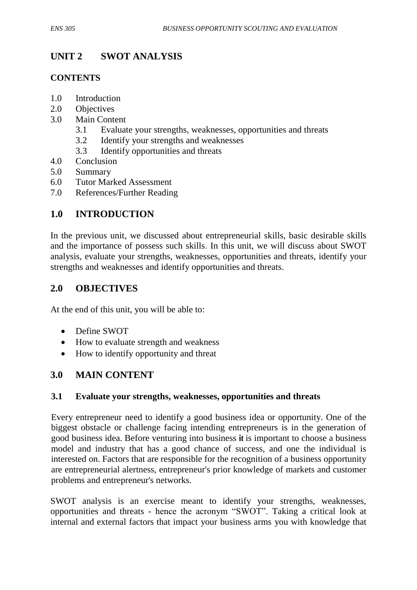# **UNIT 2 SWOT ANALYSIS**

### **CONTENTS**

- 1.0 Introduction
- 2.0 Objectives
- 3.0 Main Content
	- 3.1 Evaluate your strengths, weaknesses, opportunities and threats
	- 3.2 Identify your strengths and weaknesses
	- 3.3 Identify opportunities and threats
- 4.0 Conclusion
- 5.0 Summary
- 6.0 Tutor Marked Assessment
- 7.0 References/Further Reading

## **1.0 INTRODUCTION**

In the previous unit, we discussed about entrepreneurial skills, basic desirable skills and the importance of possess such skills. In this unit, we will discuss about SWOT analysis, evaluate your strengths, weaknesses, opportunities and threats, identify your strengths and weaknesses and identify opportunities and threats.

## **2.0 OBJECTIVES**

At the end of this unit, you will be able to:

- Define SWOT
- How to evaluate strength and weakness
- How to identify opportunity and threat

## **3.0 MAIN CONTENT**

#### **3.1 Evaluate your strengths, weaknesses, opportunities and threats**

Every entrepreneur need to identify a good business idea or opportunity. One of the biggest obstacle or challenge facing intending entrepreneurs is in the generation of good business idea. Before venturing into business **it** is important to choose a business model and industry that has a good chance of success, and one the individual is interested on. Factors that are responsible for the recognition of a business opportunity are entrepreneurial alertness, entrepreneur's prior knowledge of markets and customer problems and entrepreneur's networks.

SWOT analysis is an exercise meant to identify your strengths, weaknesses, opportunities and threats - hence the acronym "SWOT". Taking a critical look at internal and external factors that impact your business arms you with knowledge that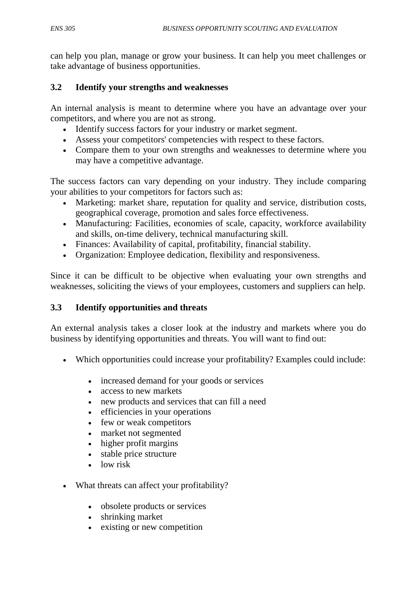can help you plan, manage or grow your business. It can help you meet challenges or take advantage of business opportunities.

### **3.2 Identify your strengths and weaknesses**

An internal analysis is meant to determine where you have an advantage over your competitors, and where you are not as strong.

- Identify success factors for your industry or market segment.
- Assess your competitors' competencies with respect to these factors.
- Compare them to your own strengths and weaknesses to determine where you may have a competitive advantage.

The success factors can vary depending on your industry. They include comparing your abilities to your competitors for factors such as:

- Marketing: market share, reputation for quality and service, distribution costs, geographical coverage, promotion and sales force effectiveness.
- Manufacturing: Facilities, economies of scale, capacity, workforce availability and skills, on-time delivery, technical manufacturing skill.
- Finances: Availability of capital, profitability, financial stability.
- Organization: Employee dedication, flexibility and responsiveness.

Since it can be difficult to be objective when evaluating your own strengths and weaknesses, soliciting the views of your employees, customers and suppliers can help.

#### **3.3 Identify opportunities and threats**

An external analysis takes a closer look at the industry and markets where you do business by identifying opportunities and threats. You will want to find out:

- Which opportunities could increase your profitability? Examples could include:
	- increased demand for your goods or services
	- access to new markets
	- new products and services that can fill a need
	- efficiencies in your operations
	- few or weak competitors
	- market not segmented
	- higher profit margins
	- stable price structure
	- low risk
- What threats can affect your profitability?
	- obsolete products or services
	- shrinking market
	- existing or new competition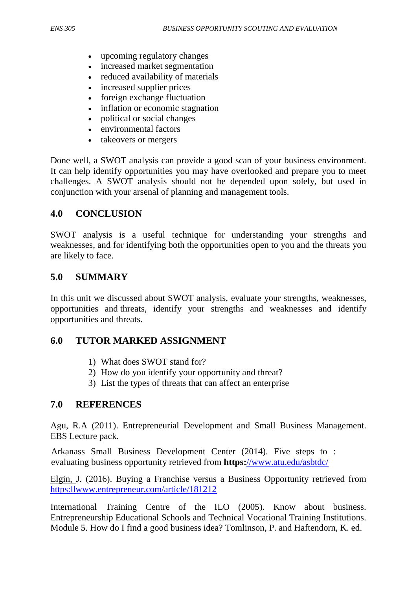- upcoming regulatory changes
- increased market segmentation
- reduced availability of materials
- increased supplier prices
- foreign exchange fluctuation
- inflation or economic stagnation
- political or social changes
- environmental factors
- takeovers or mergers

Done well, a SWOT analysis can provide a good scan of your business environment. It can help identify opportunities you may have overlooked and prepare you to meet challenges. A SWOT analysis should not be depended upon solely, but used in conjunction with your arsenal of planning and management tools.

### **4.0 CONCLUSION**

SWOT analysis is a useful technique for understanding your strengths and weaknesses, and for identifying both the opportunities open to you and the threats you are likely to face.

### **5.0 SUMMARY**

In this unit we discussed about SWOT analysis, evaluate your strengths, weaknesses, opportunities and threats, identify your strengths and weaknesses and identify opportunities and threats.

## **6.0 TUTOR MARKED ASSIGNMENT**

- 1) What does SWOT stand for?
- 2) How do you identify your opportunity and threat?
- 3) List the types of threats that can affect an enterprise

#### **7.0 REFERENCES**

Agu, R.A (2011). Entrepreneurial Development and Small Business Management. EBS Lecture pack.

Arkanass Small Business Development Center (2014). Five steps to : evaluating business opportunity retrieved from **https:**[//www.atu.edu/asbtdc/](http://)

Elgin, J. (2016). Buying a Franchise versus a Business Opportunity retrieved from [https:llwww.entrepreneur.com/article/181212](http://https:llwww.entrepreneur.com/article/181212)

International Training Centre of the ILO (2005). Know about business. Entrepreneurship Educational Schools and Technical Vocational Training Institutions. Module 5. How do I find a good business idea? Tomlinson, P. and Haftendorn, K. ed.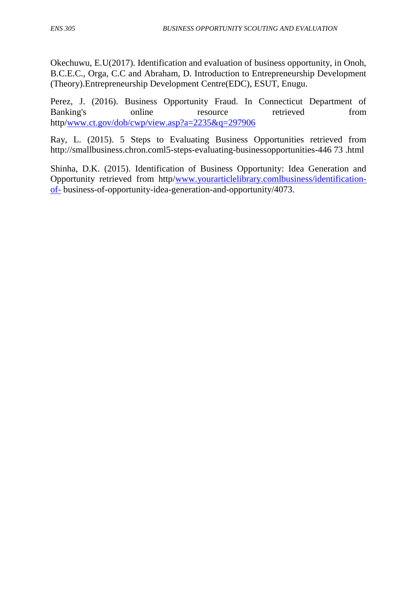Okechuwu, E.U(2017). Identification and evaluation of business opportunity, in Onoh, B.C.E.C., Orga, C.C and Abraham, D. Introduction to Entrepreneurship Development (Theory).Entrepreneurship Development Centre(EDC), ESUT, Enugu.

Perez, J. (2016). Business Opportunity Fraud. In Connecticut Department of Banking's online resource retrieved from http[/www.ct.gov/dob/cwp/view.asp?a=2235&q=297906](http://www.ct.gov/dob/cwp/view.asp?a=2235&q=297906)

Ray, L. (2015). 5 Steps to Evaluating Business Opportunities retrieved from http://smallbusiness.chron.coml5-steps-evaluating-businessopportunities-446 73 .html

Shinha, D.K. (2015). Identification of Business Opportunity: Idea Generation and Opportunity retrieved from http[/www.yourarticlelibrary.comlbusiness/identification](http://www.yourarticlelibrary.comlbusiness/identification-of-)[of-](http://www.yourarticlelibrary.comlbusiness/identification-of-) business-of-opportunity-idea-generation-and-opportunity/4073.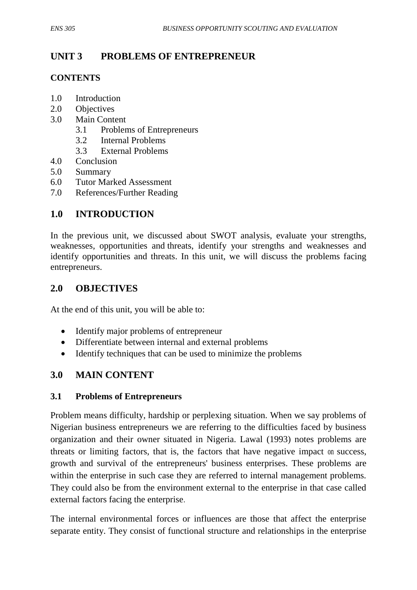# **UNIT 3 PROBLEMS OF ENTREPRENEUR**

## **CONTENTS**

- 1.0 Introduction
- 2.0 Objectives
- 3.0 Main Content
	- 3.1 Problems of Entrepreneurs
	- 3.2 Internal Problems
	- 3.3 External Problems
- 4.0 Conclusion
- 5.0 Summary
- 6.0 Tutor Marked Assessment
- 7.0 References/Further Reading

## **1.0 INTRODUCTION**

In the previous unit, we discussed about SWOT analysis, evaluate your strengths, weaknesses, opportunities and threats, identify your strengths and weaknesses and identify opportunities and threats. In this unit, we will discuss the problems facing entrepreneurs.

## **2.0 OBJECTIVES**

At the end of this unit, you will be able to:

- Identify major problems of entrepreneur
- Differentiate between internal and external problems
- Identify techniques that can be used to minimize the problems

# **3.0 MAIN CONTENT**

## **3.1 Problems of Entrepreneurs**

Problem means difficulty, hardship or perplexing situation. When we say problems of Nigerian business entrepreneurs we are referring to the difficulties faced by business organization and their owner situated in Nigeria. Lawal (1993) notes problems are threats or limiting factors, that is, the factors that have negative impact on success, growth and survival of the entrepreneurs' business enterprises. These problems are within the enterprise in such case they are referred to internal management problems. They could also be from the environment external to the enterprise in that case called external factors facing the enterprise.

The internal environmental forces or influences are those that affect the enterprise separate entity. They consist of functional structure and relationships in the enterprise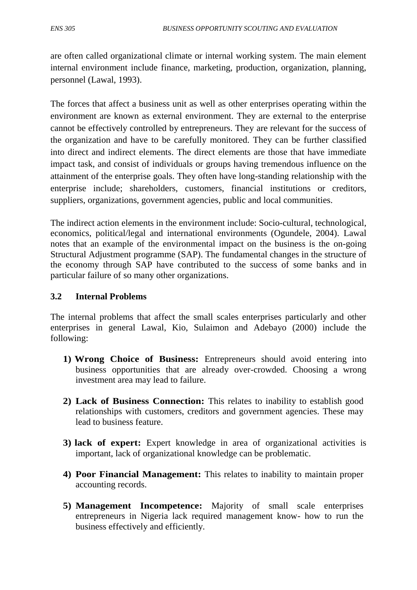are often called organizational climate or internal working system. The main element internal environment include finance, marketing, production, organization, planning, personnel (Lawal, 1993).

The forces that affect a business unit as well as other enterprises operating within the environment are known as external environment. They are external to the enterprise cannot be effectively controlled by entrepreneurs. They are relevant for the success of the organization and have to be carefully monitored. They can be further classified into direct and indirect elements. The direct elements are those that have immediate impact task, and consist of individuals or groups having tremendous influence on the attainment of the enterprise goals. They often have long-standing relationship with the enterprise include; shareholders, customers, financial institutions or creditors, suppliers, organizations, government agencies, public and local communities.

The indirect action elements in the environment include: Socio-cultural, technological, economics, political/legal and international environments (Ogundele, 2004). Lawal notes that an example of the environmental impact on the business is the on-going Structural Adjustment programme (SAP). The fundamental changes in the structure of the economy through SAP have contributed to the success of some banks and in particular failure of so many other organizations.

#### **3.2 Internal Problems**

The internal problems that affect the small scales enterprises particularly and other enterprises in general Lawal, Kio, Sulaimon and Adebayo (2000) include the following:

- **1) Wrong Choice of Business:** Entrepreneurs should avoid entering into business opportunities that are already over-crowded. Choosing a wrong investment area may lead to failure.
- **2) Lack of Business Connection:** This relates to inability to establish good relationships with customers, creditors and government agencies. These may lead to business feature.
- **3) lack of expert:** Expert knowledge in area of organizational activities is important, lack of organizational knowledge can be problematic.
- **4) Poor Financial Management:** This relates to inability to maintain proper accounting records.
- **5) Management Incompetence:** Majority of small scale enterprises entrepreneurs in Nigeria lack required management know- how to run the business effectively and efficiently.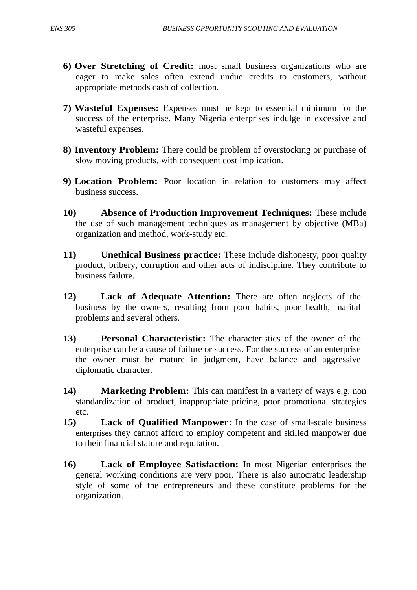- **6) Over Stretching of Credit:** most small business organizations who are eager to make sales often extend undue credits to customers, without appropriate methods cash of collection.
- **7) Wasteful Expenses:** Expenses must be kept to essential minimum for the success of the enterprise. Many Nigeria enterprises indulge in excessive and wasteful expenses.
- **8) Inventory Problem:** There could be problem of overstocking or purchase of slow moving products, with consequent cost implication.
- **9) Location Problem:** Poor location in relation to customers may affect business success.
- **10) Absence of Production Improvement Techniques:** These include the use of such management techniques as management by objective (MBa) organization and method, work-study etc.
- **11) Unethical Business practice:** These include dishonesty, poor quality product, bribery, corruption and other acts of indiscipline. They contribute to business failure.
- **12) Lack of Adequate Attention:** There are often neglects of the business by the owners, resulting from poor habits, poor health, marital problems and several others.
- **13) Personal Characteristic:** The characteristics of the owner of the enterprise can be a cause of failure or success. For the success of an enterprise the owner must be mature in judgment, have balance and aggressive diplomatic character.
- **14) Marketing Problem:** This can manifest in a variety of ways e.g. non standardization of product, inappropriate pricing, poor promotional strategies etc.
- **15) Lack of Qualified Manpower**: In the case of small-scale business enterprises they cannot afford to employ competent and skilled manpower due to their financial stature and reputation.
- **16) Lack of Employee Satisfaction:** In most Nigerian enterprises the general working conditions are very poor. There is also autocratic leadership style of some of the entrepreneurs and these constitute problems for the organization.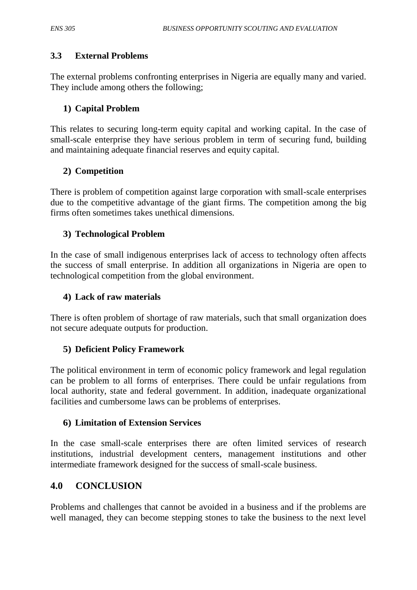## **3.3 External Problems**

The external problems confronting enterprises in Nigeria are equally many and varied. They include among others the following;

## **1) Capital Problem**

This relates to securing long-term equity capital and working capital. In the case of small-scale enterprise they have serious problem in term of securing fund, building and maintaining adequate financial reserves and equity capital.

## **2) Competition**

There is problem of competition against large corporation with small-scale enterprises due to the competitive advantage of the giant firms. The competition among the big firms often sometimes takes unethical dimensions.

## **3) Technological Problem**

In the case of small indigenous enterprises lack of access to technology often affects the success of small enterprise. In addition all organizations in Nigeria are open to technological competition from the global environment.

## **4) Lack of raw materials**

There is often problem of shortage of raw materials, such that small organization does not secure adequate outputs for production.

## **5) Deficient Policy Framework**

The political environment in term of economic policy framework and legal regulation can be problem to all forms of enterprises. There could be unfair regulations from local authority, state and federal government. In addition, inadequate organizational facilities and cumbersome laws can be problems of enterprises.

## **6) Limitation of Extension Services**

In the case small-scale enterprises there are often limited services of research institutions, industrial development centers, management institutions and other intermediate framework designed for the success of small-scale business.

# **4.0 CONCLUSION**

Problems and challenges that cannot be avoided in a business and if the problems are well managed, they can become stepping stones to take the business to the next level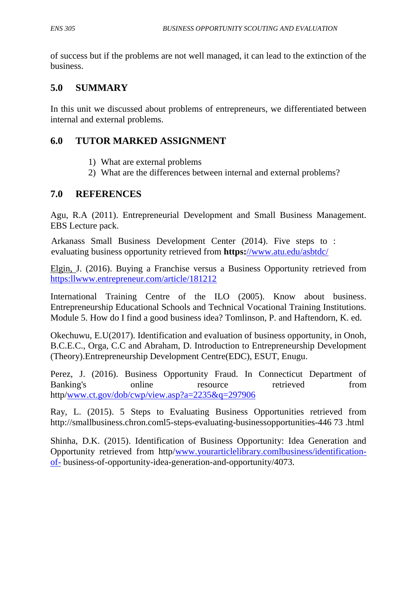of success but if the problems are not well managed, it can lead to the extinction of the business.

## **5.0 SUMMARY**

In this unit we discussed about problems of entrepreneurs, we differentiated between internal and external problems.

## **6.0 TUTOR MARKED ASSIGNMENT**

- 1) What are external problems
- 2) What are the differences between internal and external problems?

### **7.0 REFERENCES**

Agu, R.A (2011). Entrepreneurial Development and Small Business Management. EBS Lecture pack.

Arkanass Small Business Development Center (2014). Five steps to : evaluating business opportunity retrieved from **https:**[//www.atu.edu/asbtdc/](http://)

Elgin, J. (2016). Buying a Franchise versus a Business Opportunity retrieved from [https:llwww.entrepreneur.com/article/181212](http://https:llwww.entrepreneur.com/article/181212)

International Training Centre of the ILO (2005). Know about business. Entrepreneurship Educational Schools and Technical Vocational Training Institutions. Module 5. How do I find a good business idea? Tomlinson, P. and Haftendorn, K. ed.

Okechuwu, E.U(2017). Identification and evaluation of business opportunity, in Onoh, B.C.E.C., Orga, C.C and Abraham, D. Introduction to Entrepreneurship Development (Theory).Entrepreneurship Development Centre(EDC), ESUT, Enugu.

Perez, J. (2016). Business Opportunity Fraud. In Connecticut Department of Banking's online resource retrieved from http[/www.ct.gov/dob/cwp/view.asp?a=2235&q=297906](http://www.ct.gov/dob/cwp/view.asp?a=2235&q=297906)

Ray, L. (2015). 5 Steps to Evaluating Business Opportunities retrieved from http://smallbusiness.chron.coml5-steps-evaluating-businessopportunities-446 73 .html

Shinha, D.K. (2015). Identification of Business Opportunity: Idea Generation and Opportunity retrieved from http[/www.yourarticlelibrary.comlbusiness/identification](http://www.yourarticlelibrary.comlbusiness/identification-of-)[of-](http://www.yourarticlelibrary.comlbusiness/identification-of-) business-of-opportunity-idea-generation-and-opportunity/4073.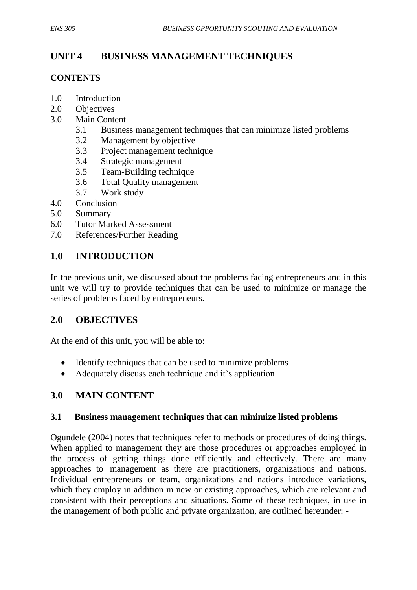# **UNIT 4 BUSINESS MANAGEMENT TECHNIQUES**

## **CONTENTS**

- 1.0 Introduction
- 2.0 Objectives
- 3.0 Main Content
	- 3.1 Business management techniques that can minimize listed problems
	- 3.2 Management by objective
	- 3.3 Project management technique
	- 3.4 Strategic management
	- 3.5 Team-Building technique
	- 3.6 Total Quality management
	- 3.7 Work study
- 4.0 Conclusion
- 5.0 Summary
- 6.0 Tutor Marked Assessment
- 7.0 References/Further Reading

## **1.0 INTRODUCTION**

In the previous unit, we discussed about the problems facing entrepreneurs and in this unit we will try to provide techniques that can be used to minimize or manage the series of problems faced by entrepreneurs.

## **2.0 OBJECTIVES**

At the end of this unit, you will be able to:

- Identify techniques that can be used to minimize problems
- Adequately discuss each technique and it's application

## **3.0 MAIN CONTENT**

#### **3.1 Business management techniques that can minimize listed problems**

Ogundele (2004) notes that techniques refer to methods or procedures of doing things. When applied to management they are those procedures or approaches employed in the process of getting things done efficiently and effectively. There are many approaches to management as there are practitioners, organizations and nations. Individual entrepreneurs or team, organizations and nations introduce variations, which they employ in addition m new or existing approaches, which are relevant and consistent with their perceptions and situations. Some of these techniques, in use in the management of both public and private organization, are outlined hereunder: -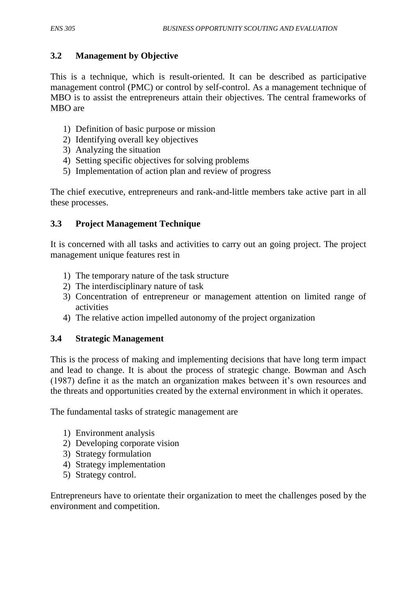## **3.2 Management by Objective**

This is a technique, which is result-oriented. It can be described as participative management control (PMC) or control by self-control. As a management technique of MBO is to assist the entrepreneurs attain their objectives. The central frameworks of MBO are

- 1) Definition of basic purpose or mission
- 2) Identifying overall key objectives
- 3) Analyzing the situation
- 4) Setting specific objectives for solving problems
- 5) Implementation of action plan and review of progress

The chief executive, entrepreneurs and rank-and-little members take active part in all these processes.

# **3.3 Project Management Technique**

It is concerned with all tasks and activities to carry out an going project. The project management unique features rest in

- 1) The temporary nature of the task structure
- 2) The interdisciplinary nature of task
- 3) Concentration of entrepreneur or management attention on limited range of activities
- 4) The relative action impelled autonomy of the project organization

## **3.4 Strategic Management**

This is the process of making and implementing decisions that have long term impact and lead to change. It is about the process of strategic change. Bowman and Asch (1987) define it as the match an organization makes between it's own resources and the threats and opportunities created by the external environment in which it operates.

The fundamental tasks of strategic management are

- 1) Environment analysis
- 2) Developing corporate vision
- 3) Strategy formulation
- 4) Strategy implementation
- 5) Strategy control.

Entrepreneurs have to orientate their organization to meet the challenges posed by the environment and competition.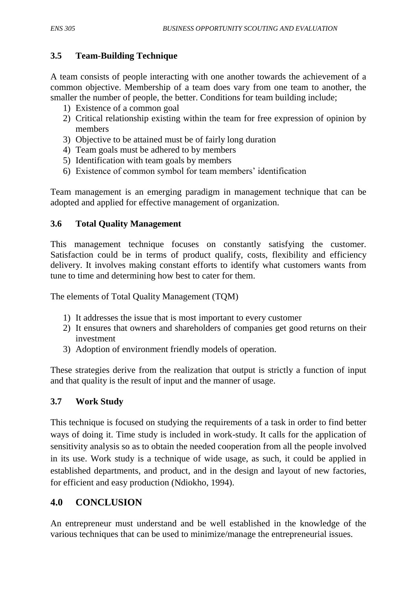## **3.5 Team-Building Technique**

A team consists of people interacting with one another towards the achievement of a common objective. Membership of a team does vary from one team to another, the smaller the number of people, the better. Conditions for team building include;

- 1) Existence of a common goal
- 2) Critical relationship existing within the team for free expression of opinion by members
- 3) Objective to be attained must be of fairly long duration
- 4) Team goals must be adhered to by members
- 5) Identification with team goals by members
- 6) Existence of common symbol for team members' identification

Team management is an emerging paradigm in management technique that can be adopted and applied for effective management of organization.

### **3.6 Total Quality Management**

This management technique focuses on constantly satisfying the customer. Satisfaction could be in terms of product qualify, costs, flexibility and efficiency delivery. It involves making constant efforts to identify what customers wants from tune to time and determining how best to cater for them.

The elements of Total Quality Management (TQM)

- 1) It addresses the issue that is most important to every customer
- 2) It ensures that owners and shareholders of companies get good returns on their investment
- 3) Adoption of environment friendly models of operation.

These strategies derive from the realization that output is strictly a function of input and that quality is the result of input and the manner of usage.

## **3.7 Work Study**

This technique is focused on studying the requirements of a task in order to find better ways of doing it. Time study is included in work-study. It calls for the application of sensitivity analysis so as to obtain the needed cooperation from all the people involved in its use. Work study is a technique of wide usage, as such, it could be applied in established departments, and product, and in the design and layout of new factories, for efficient and easy production (Ndiokho, 1994).

# **4.0 CONCLUSION**

An entrepreneur must understand and be well established in the knowledge of the various techniques that can be used to minimize/manage the entrepreneurial issues.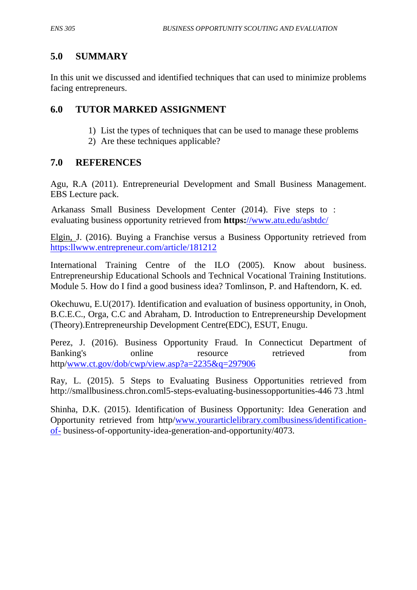## **5.0 SUMMARY**

In this unit we discussed and identified techniques that can used to minimize problems facing entrepreneurs.

## **6.0 TUTOR MARKED ASSIGNMENT**

- 1) List the types of techniques that can be used to manage these problems
- 2) Are these techniques applicable?

## **7.0 REFERENCES**

Agu, R.A (2011). Entrepreneurial Development and Small Business Management. EBS Lecture pack.

Arkanass Small Business Development Center (2014). Five steps to : evaluating business opportunity retrieved from **https:**[//www.atu.edu/asbtdc/](http://)

Elgin, J. (2016). Buying a Franchise versus a Business Opportunity retrieved from [https:llwww.entrepreneur.com/article/181212](http://https:llwww.entrepreneur.com/article/181212)

International Training Centre of the ILO (2005). Know about business. Entrepreneurship Educational Schools and Technical Vocational Training Institutions. Module 5. How do I find a good business idea? Tomlinson, P. and Haftendorn, K. ed.

Okechuwu, E.U(2017). Identification and evaluation of business opportunity, in Onoh, B.C.E.C., Orga, C.C and Abraham, D. Introduction to Entrepreneurship Development (Theory).Entrepreneurship Development Centre(EDC), ESUT, Enugu.

Perez, J. (2016). Business Opportunity Fraud. In Connecticut Department of Banking's online resource retrieved from http[/www.ct.gov/dob/cwp/view.asp?a=2235&q=297906](http://www.ct.gov/dob/cwp/view.asp?a=2235&q=297906)

Ray, L. (2015). 5 Steps to Evaluating Business Opportunities retrieved from http://smallbusiness.chron.coml5-steps-evaluating-businessopportunities-446 73 .html

Shinha, D.K. (2015). Identification of Business Opportunity: Idea Generation and Opportunity retrieved from http[/www.yourarticlelibrary.comlbusiness/identification](http://www.yourarticlelibrary.comlbusiness/identification-of-)[of-](http://www.yourarticlelibrary.comlbusiness/identification-of-) business-of-opportunity-idea-generation-and-opportunity/4073.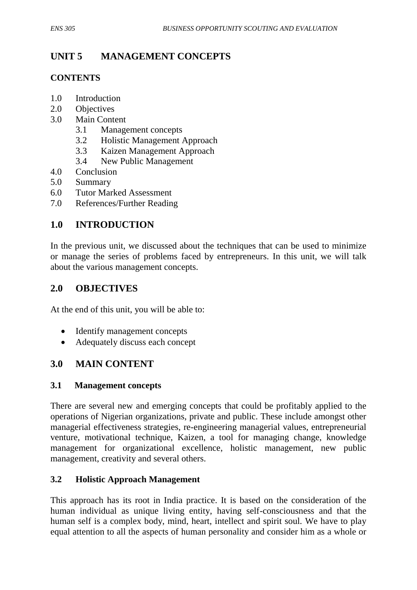# **UNIT 5 MANAGEMENT CONCEPTS**

## **CONTENTS**

- 1.0 Introduction
- 2.0 Objectives
- 3.0 Main Content
	- 3.1 Management concepts
	- 3.2 Holistic Management Approach
	- 3.3 Kaizen Management Approach
	- 3.4 New Public Management
- 4.0 Conclusion
- 5.0 Summary
- 6.0 Tutor Marked Assessment
- 7.0 References/Further Reading

# **1.0 INTRODUCTION**

In the previous unit, we discussed about the techniques that can be used to minimize or manage the series of problems faced by entrepreneurs. In this unit, we will talk about the various management concepts.

## **2.0 OBJECTIVES**

At the end of this unit, you will be able to:

- Identify management concepts
- Adequately discuss each concept

## **3.0 MAIN CONTENT**

#### **3.1 Management concepts**

There are several new and emerging concepts that could be profitably applied to the operations of Nigerian organizations, private and public. These include amongst other managerial effectiveness strategies, re-engineering managerial values, entrepreneurial venture, motivational technique, Kaizen, a tool for managing change, knowledge management for organizational excellence, holistic management, new public management, creativity and several others.

#### **3.2 Holistic Approach Management**

This approach has its root in India practice. It is based on the consideration of the human individual as unique living entity, having self-consciousness and that the human self is a complex body, mind, heart, intellect and spirit soul. We have to play equal attention to all the aspects of human personality and consider him as a whole or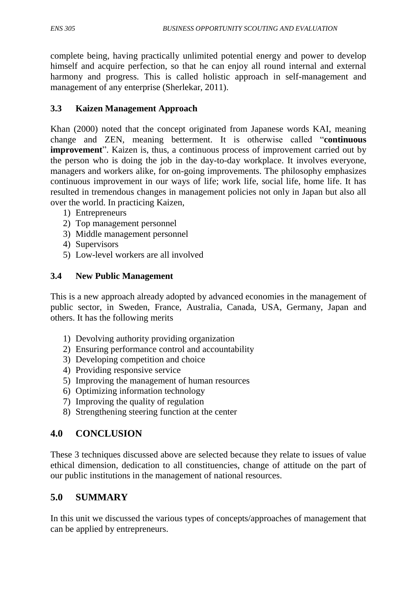complete being, having practically unlimited potential energy and power to develop himself and acquire perfection, so that he can enjoy all round internal and external harmony and progress. This is called holistic approach in self-management and management of any enterprise (Sherlekar, 2011).

## **3.3 Kaizen Management Approach**

Khan (2000) noted that the concept originated from Japanese words KAI, meaning change and ZEN, meaning betterment. It is otherwise called "continuous" **improvement**". Kaizen is, thus, a continuous process of improvement carried out by the person who is doing the job in the day-to-day workplace. It involves everyone, managers and workers alike, for on-going improvements. The philosophy emphasizes continuous improvement in our ways of life; work life, social life, home life. It has resulted in tremendous changes in management policies not only in Japan but also all over the world. In practicing Kaizen,

- 1) Entrepreneurs
- 2) Top management personnel
- 3) Middle management personnel
- 4) Supervisors
- 5) Low-level workers are all involved

#### **3.4 New Public Management**

This is a new approach already adopted by advanced economies in the management of public sector, in Sweden, France, Australia, Canada, USA, Germany, Japan and others. It has the following merits

- 1) Devolving authority providing organization
- 2) Ensuring performance control and accountability
- 3) Developing competition and choice
- 4) Providing responsive service
- 5) Improving the management of human resources
- 6) Optimizing information technology
- 7) Improving the quality of regulation
- 8) Strengthening steering function at the center

# **4.0 CONCLUSION**

These 3 techniques discussed above are selected because they relate to issues of value ethical dimension, dedication to all constituencies, change of attitude on the part of our public institutions in the management of national resources.

## **5.0 SUMMARY**

In this unit we discussed the various types of concepts/approaches of management that can be applied by entrepreneurs.